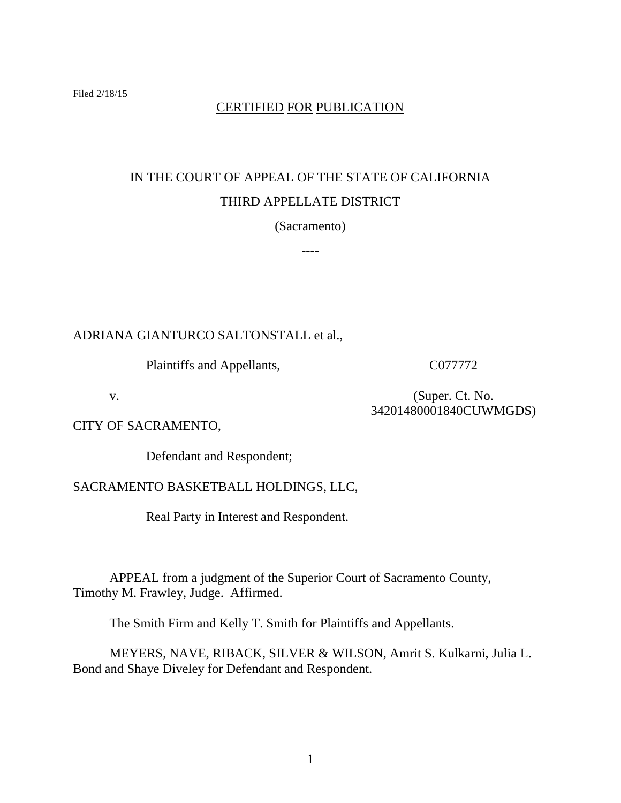# CERTIFIED FOR PUBLICATION

# IN THE COURT OF APPEAL OF THE STATE OF CALIFORNIA THIRD APPELLATE DISTRICT

(Sacramento)

----

ADRIANA GIANTURCO SALTONSTALL et al.,

Plaintiffs and Appellants,

v.

CITY OF SACRAMENTO,

Defendant and Respondent;

SACRAMENTO BASKETBALL HOLDINGS, LLC,

Real Party in Interest and Respondent.

C077772

(Super. Ct. No. 34201480001840CUWMGDS)

APPEAL from a judgment of the Superior Court of Sacramento County, Timothy M. Frawley, Judge. Affirmed.

The Smith Firm and Kelly T. Smith for Plaintiffs and Appellants.

MEYERS, NAVE, RIBACK, SILVER & WILSON, Amrit S. Kulkarni, Julia L. Bond and Shaye Diveley for Defendant and Respondent.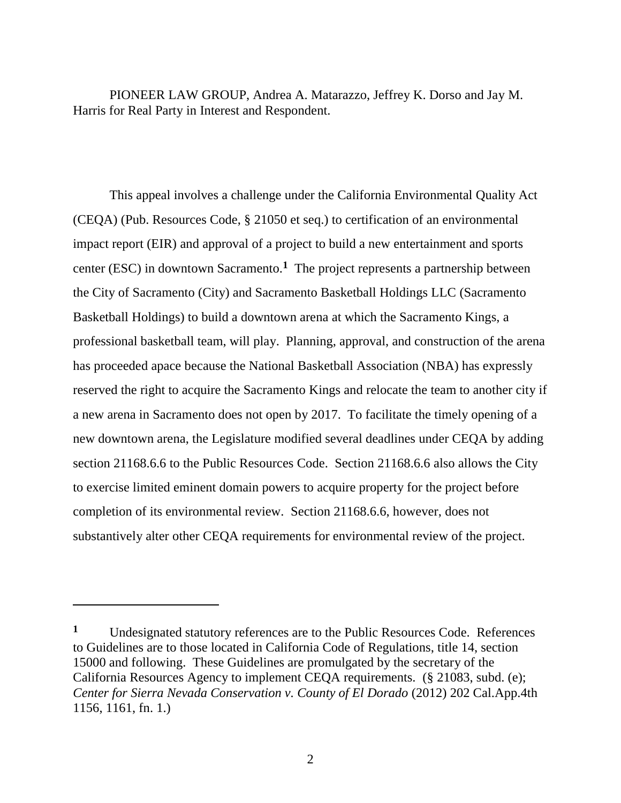PIONEER LAW GROUP, Andrea A. Matarazzo, Jeffrey K. Dorso and Jay M. Harris for Real Party in Interest and Respondent.

This appeal involves a challenge under the California Environmental Quality Act (CEQA) (Pub. Resources Code, § 21050 et seq.) to certification of an environmental impact report (EIR) and approval of a project to build a new entertainment and sports center (ESC) in downtown Sacramento.**<sup>1</sup>** The project represents a partnership between the City of Sacramento (City) and Sacramento Basketball Holdings LLC (Sacramento Basketball Holdings) to build a downtown arena at which the Sacramento Kings, a professional basketball team, will play. Planning, approval, and construction of the arena has proceeded apace because the National Basketball Association (NBA) has expressly reserved the right to acquire the Sacramento Kings and relocate the team to another city if a new arena in Sacramento does not open by 2017. To facilitate the timely opening of a new downtown arena, the Legislature modified several deadlines under CEQA by adding section 21168.6.6 to the Public Resources Code. Section 21168.6.6 also allows the City to exercise limited eminent domain powers to acquire property for the project before completion of its environmental review. Section 21168.6.6, however, does not substantively alter other CEQA requirements for environmental review of the project.

 $\overline{a}$ 

**<sup>1</sup>** Undesignated statutory references are to the Public Resources Code. References to Guidelines are to those located in California Code of Regulations, title 14, section 15000 and following. These Guidelines are promulgated by the secretary of the California Resources Agency to implement CEQA requirements. (§ 21083, subd. (e); *Center for Sierra Nevada Conservation v. County of El Dorado* (2012) 202 Cal.App.4th 1156, 1161, fn. 1.)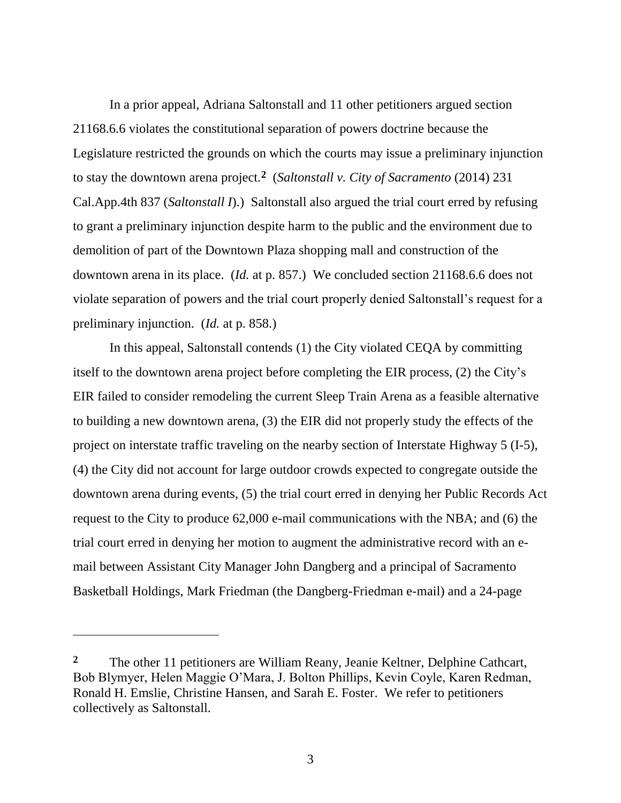In a prior appeal, Adriana Saltonstall and 11 other petitioners argued section 21168.6.6 violates the constitutional separation of powers doctrine because the Legislature restricted the grounds on which the courts may issue a preliminary injunction to stay the downtown arena project.**<sup>2</sup>** (*Saltonstall v. City of Sacramento* (2014) 231 Cal.App.4th 837 (*Saltonstall I*).) Saltonstall also argued the trial court erred by refusing to grant a preliminary injunction despite harm to the public and the environment due to demolition of part of the Downtown Plaza shopping mall and construction of the downtown arena in its place. (*Id.* at p. 857.) We concluded section 21168.6.6 does not violate separation of powers and the trial court properly denied Saltonstall's request for a preliminary injunction. (*Id.* at p. 858.)

In this appeal, Saltonstall contends (1) the City violated CEQA by committing itself to the downtown arena project before completing the EIR process, (2) the City's EIR failed to consider remodeling the current Sleep Train Arena as a feasible alternative to building a new downtown arena, (3) the EIR did not properly study the effects of the project on interstate traffic traveling on the nearby section of Interstate Highway 5 (I-5), (4) the City did not account for large outdoor crowds expected to congregate outside the downtown arena during events, (5) the trial court erred in denying her Public Records Act request to the City to produce 62,000 e-mail communications with the NBA; and (6) the trial court erred in denying her motion to augment the administrative record with an email between Assistant City Manager John Dangberg and a principal of Sacramento Basketball Holdings, Mark Friedman (the Dangberg-Friedman e-mail) and a 24-page

 $\overline{a}$ 

<sup>&</sup>lt;sup>2</sup> The other 11 petitioners are William Reany, Jeanie Keltner, Delphine Cathcart, Bob Blymyer, Helen Maggie O'Mara, J. Bolton Phillips, Kevin Coyle, Karen Redman, Ronald H. Emslie, Christine Hansen, and Sarah E. Foster. We refer to petitioners collectively as Saltonstall.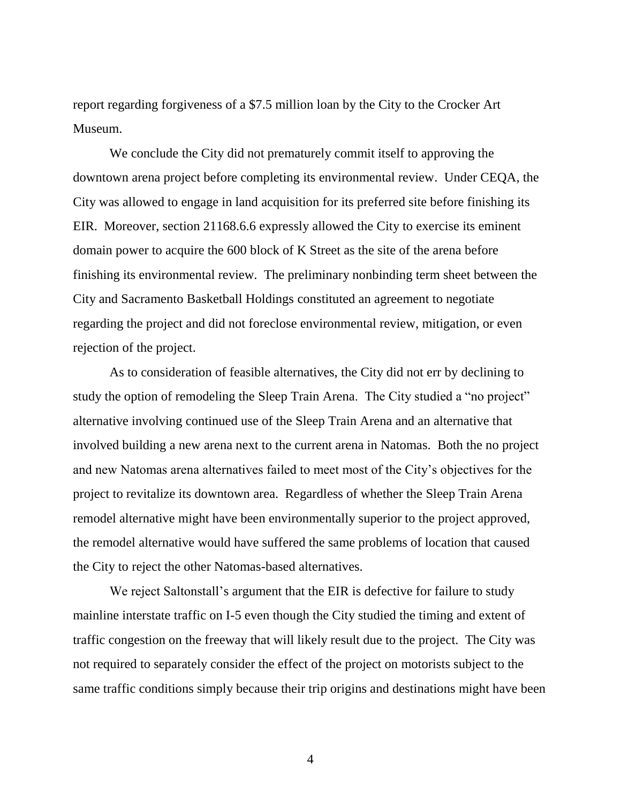report regarding forgiveness of a \$7.5 million loan by the City to the Crocker Art Museum.

We conclude the City did not prematurely commit itself to approving the downtown arena project before completing its environmental review. Under CEQA, the City was allowed to engage in land acquisition for its preferred site before finishing its EIR. Moreover, section 21168.6.6 expressly allowed the City to exercise its eminent domain power to acquire the 600 block of K Street as the site of the arena before finishing its environmental review. The preliminary nonbinding term sheet between the City and Sacramento Basketball Holdings constituted an agreement to negotiate regarding the project and did not foreclose environmental review, mitigation, or even rejection of the project.

As to consideration of feasible alternatives, the City did not err by declining to study the option of remodeling the Sleep Train Arena. The City studied a "no project" alternative involving continued use of the Sleep Train Arena and an alternative that involved building a new arena next to the current arena in Natomas. Both the no project and new Natomas arena alternatives failed to meet most of the City's objectives for the project to revitalize its downtown area. Regardless of whether the Sleep Train Arena remodel alternative might have been environmentally superior to the project approved, the remodel alternative would have suffered the same problems of location that caused the City to reject the other Natomas-based alternatives.

We reject Saltonstall's argument that the EIR is defective for failure to study mainline interstate traffic on I-5 even though the City studied the timing and extent of traffic congestion on the freeway that will likely result due to the project. The City was not required to separately consider the effect of the project on motorists subject to the same traffic conditions simply because their trip origins and destinations might have been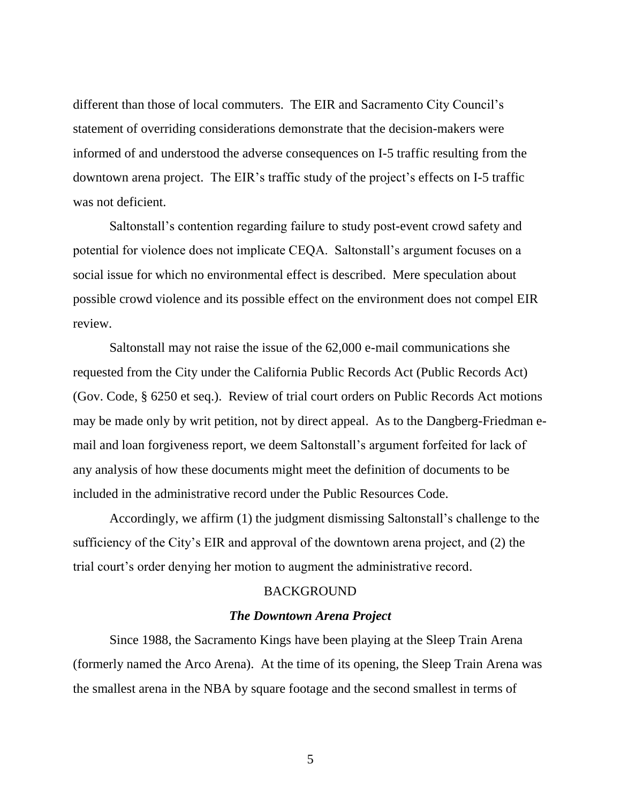different than those of local commuters. The EIR and Sacramento City Council's statement of overriding considerations demonstrate that the decision-makers were informed of and understood the adverse consequences on I-5 traffic resulting from the downtown arena project. The EIR's traffic study of the project's effects on I-5 traffic was not deficient.

Saltonstall's contention regarding failure to study post-event crowd safety and potential for violence does not implicate CEQA. Saltonstall's argument focuses on a social issue for which no environmental effect is described. Mere speculation about possible crowd violence and its possible effect on the environment does not compel EIR review.

Saltonstall may not raise the issue of the 62,000 e-mail communications she requested from the City under the California Public Records Act (Public Records Act) (Gov. Code, § 6250 et seq.). Review of trial court orders on Public Records Act motions may be made only by writ petition, not by direct appeal. As to the Dangberg-Friedman email and loan forgiveness report, we deem Saltonstall's argument forfeited for lack of any analysis of how these documents might meet the definition of documents to be included in the administrative record under the Public Resources Code.

Accordingly, we affirm (1) the judgment dismissing Saltonstall's challenge to the sufficiency of the City's EIR and approval of the downtown arena project, and (2) the trial court's order denying her motion to augment the administrative record.

## BACKGROUND

#### *The Downtown Arena Project*

Since 1988, the Sacramento Kings have been playing at the Sleep Train Arena (formerly named the Arco Arena). At the time of its opening, the Sleep Train Arena was the smallest arena in the NBA by square footage and the second smallest in terms of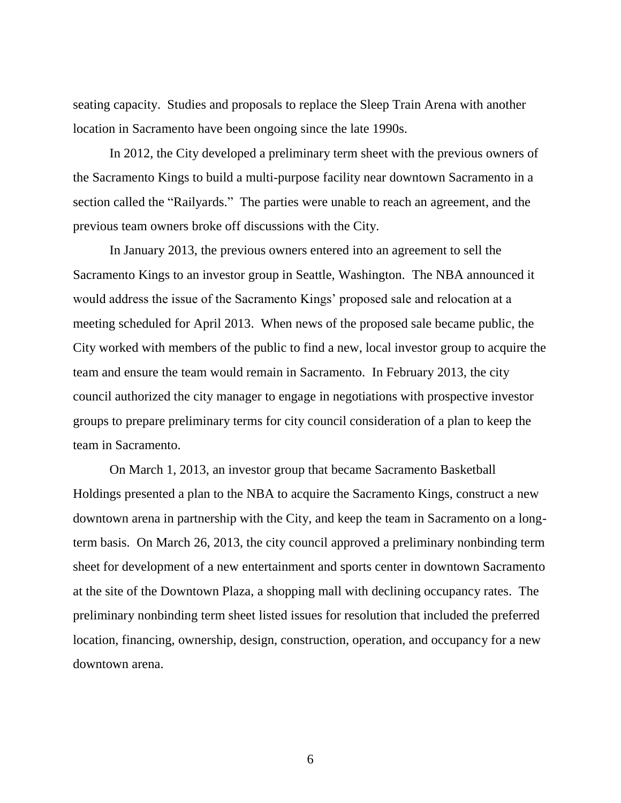seating capacity. Studies and proposals to replace the Sleep Train Arena with another location in Sacramento have been ongoing since the late 1990s.

In 2012, the City developed a preliminary term sheet with the previous owners of the Sacramento Kings to build a multi-purpose facility near downtown Sacramento in a section called the "Railyards." The parties were unable to reach an agreement, and the previous team owners broke off discussions with the City.

In January 2013, the previous owners entered into an agreement to sell the Sacramento Kings to an investor group in Seattle, Washington. The NBA announced it would address the issue of the Sacramento Kings' proposed sale and relocation at a meeting scheduled for April 2013. When news of the proposed sale became public, the City worked with members of the public to find a new, local investor group to acquire the team and ensure the team would remain in Sacramento. In February 2013, the city council authorized the city manager to engage in negotiations with prospective investor groups to prepare preliminary terms for city council consideration of a plan to keep the team in Sacramento.

On March 1, 2013, an investor group that became Sacramento Basketball Holdings presented a plan to the NBA to acquire the Sacramento Kings, construct a new downtown arena in partnership with the City, and keep the team in Sacramento on a longterm basis. On March 26, 2013, the city council approved a preliminary nonbinding term sheet for development of a new entertainment and sports center in downtown Sacramento at the site of the Downtown Plaza, a shopping mall with declining occupancy rates. The preliminary nonbinding term sheet listed issues for resolution that included the preferred location, financing, ownership, design, construction, operation, and occupancy for a new downtown arena.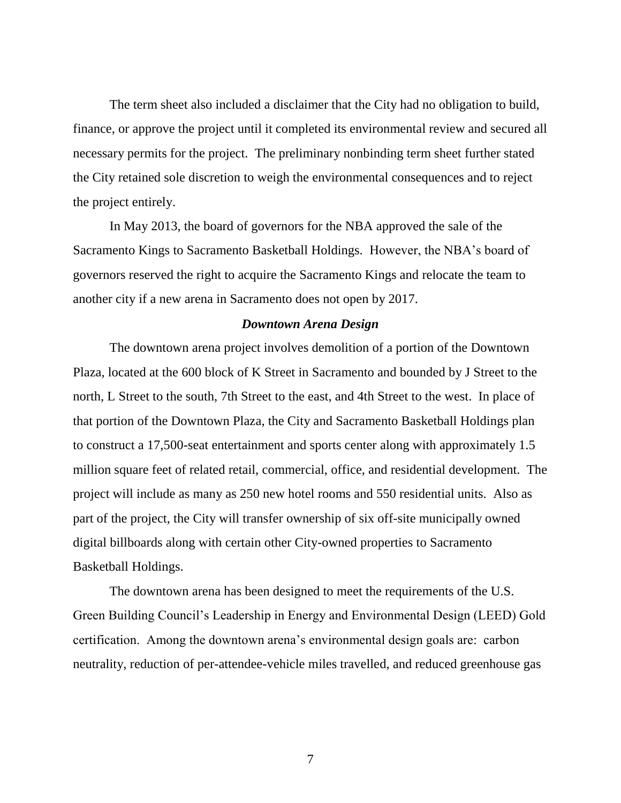The term sheet also included a disclaimer that the City had no obligation to build, finance, or approve the project until it completed its environmental review and secured all necessary permits for the project. The preliminary nonbinding term sheet further stated the City retained sole discretion to weigh the environmental consequences and to reject the project entirely.

In May 2013, the board of governors for the NBA approved the sale of the Sacramento Kings to Sacramento Basketball Holdings. However, the NBA's board of governors reserved the right to acquire the Sacramento Kings and relocate the team to another city if a new arena in Sacramento does not open by 2017.

## *Downtown Arena Design*

The downtown arena project involves demolition of a portion of the Downtown Plaza, located at the 600 block of K Street in Sacramento and bounded by J Street to the north, L Street to the south, 7th Street to the east, and 4th Street to the west. In place of that portion of the Downtown Plaza, the City and Sacramento Basketball Holdings plan to construct a 17,500-seat entertainment and sports center along with approximately 1.5 million square feet of related retail, commercial, office, and residential development. The project will include as many as 250 new hotel rooms and 550 residential units. Also as part of the project, the City will transfer ownership of six off-site municipally owned digital billboards along with certain other City-owned properties to Sacramento Basketball Holdings.

The downtown arena has been designed to meet the requirements of the U.S. Green Building Council's Leadership in Energy and Environmental Design (LEED) Gold certification. Among the downtown arena's environmental design goals are: carbon neutrality, reduction of per-attendee-vehicle miles travelled, and reduced greenhouse gas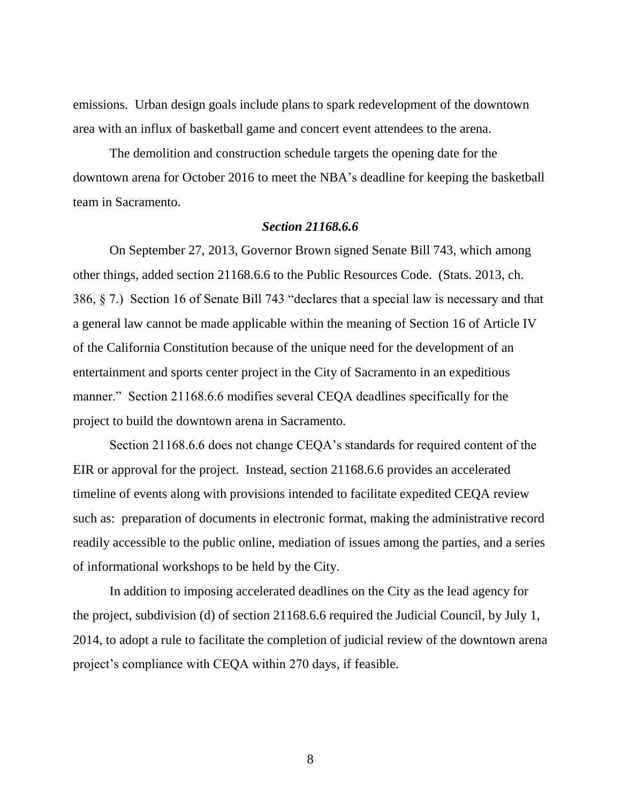emissions. Urban design goals include plans to spark redevelopment of the downtown area with an influx of basketball game and concert event attendees to the arena.

The demolition and construction schedule targets the opening date for the downtown arena for October 2016 to meet the NBA's deadline for keeping the basketball team in Sacramento.

## *Section 21168.6.6*

On September 27, 2013, Governor Brown signed Senate Bill 743, which among other things, added section 21168.6.6 to the Public Resources Code. (Stats. 2013, ch. 386, § 7.) Section 16 of Senate Bill 743 "declares that a special law is necessary and that a general law cannot be made applicable within the meaning of Section 16 of Article IV of the California Constitution because of the unique need for the development of an entertainment and sports center project in the City of Sacramento in an expeditious manner." Section 21168.6.6 modifies several CEQA deadlines specifically for the project to build the downtown arena in Sacramento.

Section 21168.6.6 does not change CEQA's standards for required content of the EIR or approval for the project. Instead, section 21168.6.6 provides an accelerated timeline of events along with provisions intended to facilitate expedited CEQA review such as: preparation of documents in electronic format, making the administrative record readily accessible to the public online, mediation of issues among the parties, and a series of informational workshops to be held by the City.

In addition to imposing accelerated deadlines on the City as the lead agency for the project, subdivision (d) of section 21168.6.6 required the Judicial Council, by July 1, 2014, to adopt a rule to facilitate the completion of judicial review of the downtown arena project's compliance with CEQA within 270 days, if feasible.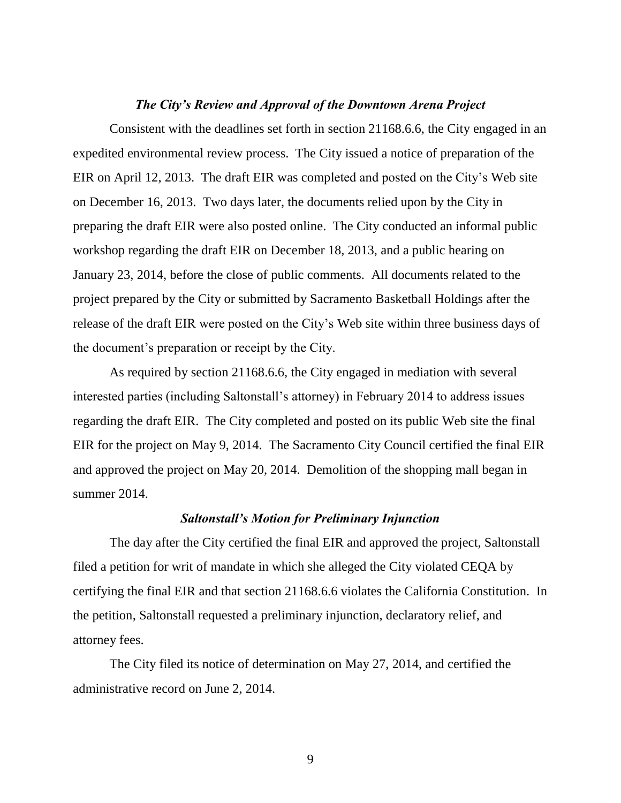#### *The City's Review and Approval of the Downtown Arena Project*

Consistent with the deadlines set forth in section 21168.6.6, the City engaged in an expedited environmental review process. The City issued a notice of preparation of the EIR on April 12, 2013. The draft EIR was completed and posted on the City's Web site on December 16, 2013. Two days later, the documents relied upon by the City in preparing the draft EIR were also posted online. The City conducted an informal public workshop regarding the draft EIR on December 18, 2013, and a public hearing on January 23, 2014, before the close of public comments. All documents related to the project prepared by the City or submitted by Sacramento Basketball Holdings after the release of the draft EIR were posted on the City's Web site within three business days of the document's preparation or receipt by the City.

As required by section 21168.6.6, the City engaged in mediation with several interested parties (including Saltonstall's attorney) in February 2014 to address issues regarding the draft EIR. The City completed and posted on its public Web site the final EIR for the project on May 9, 2014. The Sacramento City Council certified the final EIR and approved the project on May 20, 2014. Demolition of the shopping mall began in summer 2014.

## *Saltonstall's Motion for Preliminary Injunction*

The day after the City certified the final EIR and approved the project, Saltonstall filed a petition for writ of mandate in which she alleged the City violated CEQA by certifying the final EIR and that section 21168.6.6 violates the California Constitution. In the petition, Saltonstall requested a preliminary injunction, declaratory relief, and attorney fees.

The City filed its notice of determination on May 27, 2014, and certified the administrative record on June 2, 2014.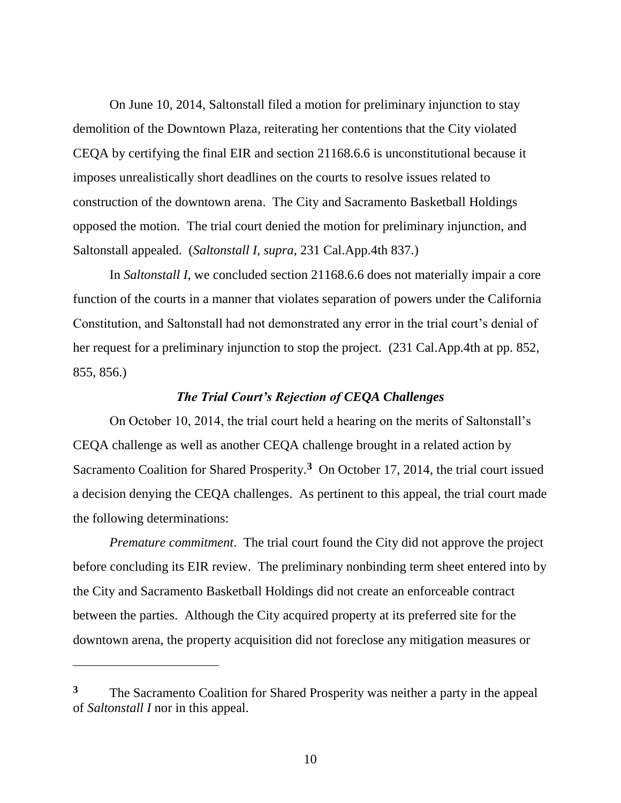On June 10, 2014, Saltonstall filed a motion for preliminary injunction to stay demolition of the Downtown Plaza, reiterating her contentions that the City violated CEQA by certifying the final EIR and section 21168.6.6 is unconstitutional because it imposes unrealistically short deadlines on the courts to resolve issues related to construction of the downtown arena. The City and Sacramento Basketball Holdings opposed the motion. The trial court denied the motion for preliminary injunction, and Saltonstall appealed. (*Saltonstall I, supra,* 231 Cal.App.4th 837.)

In *Saltonstall I*, we concluded section 21168.6.6 does not materially impair a core function of the courts in a manner that violates separation of powers under the California Constitution, and Saltonstall had not demonstrated any error in the trial court's denial of her request for a preliminary injunction to stop the project. (231 Cal.App.4th at pp. 852, 855, 856.)

## *The Trial Court's Rejection of CEQA Challenges*

On October 10, 2014, the trial court held a hearing on the merits of Saltonstall's CEQA challenge as well as another CEQA challenge brought in a related action by Sacramento Coalition for Shared Prosperity.**<sup>3</sup>** On October 17, 2014, the trial court issued a decision denying the CEQA challenges. As pertinent to this appeal, the trial court made the following determinations:

*Premature commitment*. The trial court found the City did not approve the project before concluding its EIR review. The preliminary nonbinding term sheet entered into by the City and Sacramento Basketball Holdings did not create an enforceable contract between the parties. Although the City acquired property at its preferred site for the downtown arena, the property acquisition did not foreclose any mitigation measures or

 $\overline{a}$ 

**<sup>3</sup>** The Sacramento Coalition for Shared Prosperity was neither a party in the appeal of *Saltonstall I* nor in this appeal.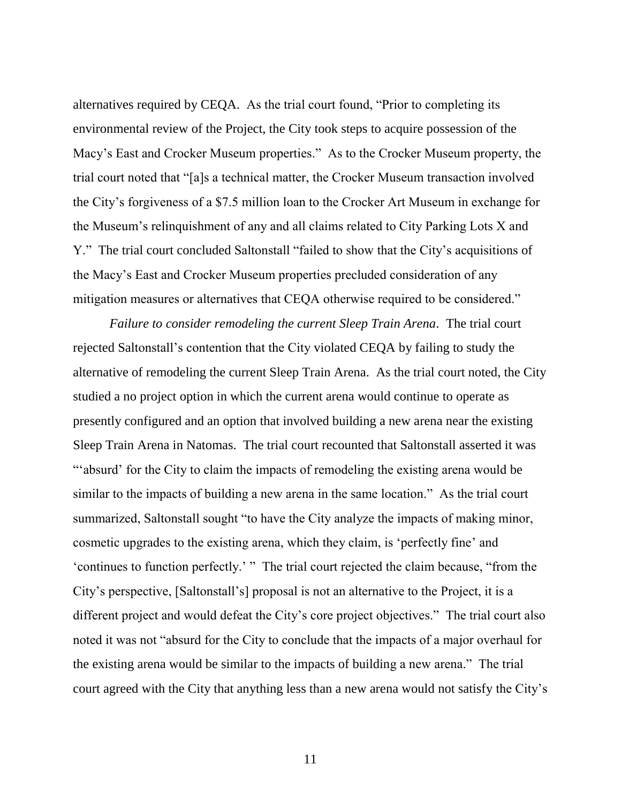alternatives required by CEQA. As the trial court found, "Prior to completing its environmental review of the Project, the City took steps to acquire possession of the Macy's East and Crocker Museum properties." As to the Crocker Museum property, the trial court noted that "[a]s a technical matter, the Crocker Museum transaction involved the City's forgiveness of a \$7.5 million loan to the Crocker Art Museum in exchange for the Museum's relinquishment of any and all claims related to City Parking Lots X and Y." The trial court concluded Saltonstall "failed to show that the City's acquisitions of the Macy's East and Crocker Museum properties precluded consideration of any mitigation measures or alternatives that CEQA otherwise required to be considered."

*Failure to consider remodeling the current Sleep Train Arena*. The trial court rejected Saltonstall's contention that the City violated CEQA by failing to study the alternative of remodeling the current Sleep Train Arena. As the trial court noted, the City studied a no project option in which the current arena would continue to operate as presently configured and an option that involved building a new arena near the existing Sleep Train Arena in Natomas. The trial court recounted that Saltonstall asserted it was "'absurd' for the City to claim the impacts of remodeling the existing arena would be similar to the impacts of building a new arena in the same location." As the trial court summarized, Saltonstall sought "to have the City analyze the impacts of making minor, cosmetic upgrades to the existing arena, which they claim, is 'perfectly fine' and 'continues to function perfectly.' " The trial court rejected the claim because, "from the City's perspective, [Saltonstall's] proposal is not an alternative to the Project, it is a different project and would defeat the City's core project objectives." The trial court also noted it was not "absurd for the City to conclude that the impacts of a major overhaul for the existing arena would be similar to the impacts of building a new arena." The trial court agreed with the City that anything less than a new arena would not satisfy the City's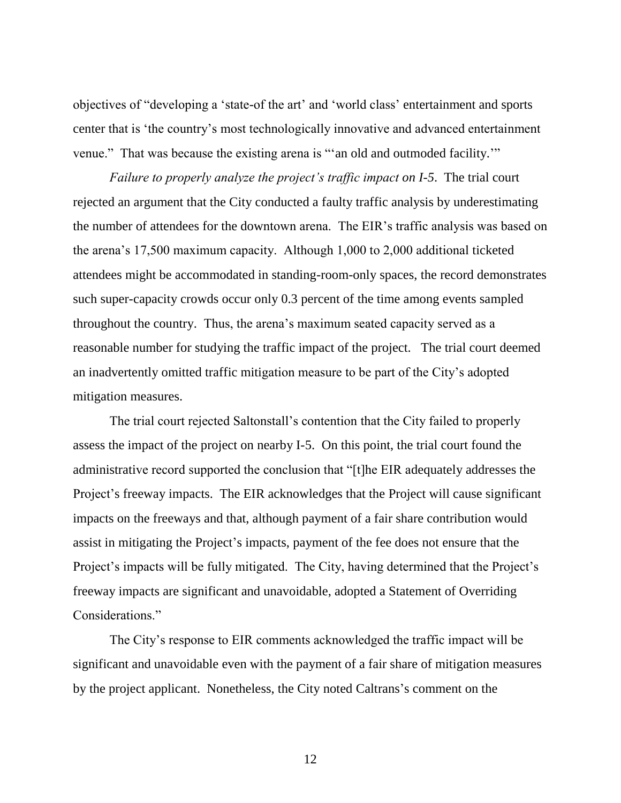objectives of "developing a 'state-of the art' and 'world class' entertainment and sports center that is 'the country's most technologically innovative and advanced entertainment venue." That was because the existing arena is "'an old and outmoded facility.'"

*Failure to properly analyze the project's traffic impact on I-5*. The trial court rejected an argument that the City conducted a faulty traffic analysis by underestimating the number of attendees for the downtown arena. The EIR's traffic analysis was based on the arena's 17,500 maximum capacity. Although 1,000 to 2,000 additional ticketed attendees might be accommodated in standing-room-only spaces, the record demonstrates such super-capacity crowds occur only 0.3 percent of the time among events sampled throughout the country. Thus, the arena's maximum seated capacity served as a reasonable number for studying the traffic impact of the project. The trial court deemed an inadvertently omitted traffic mitigation measure to be part of the City's adopted mitigation measures.

The trial court rejected Saltonstall's contention that the City failed to properly assess the impact of the project on nearby I-5. On this point, the trial court found the administrative record supported the conclusion that "[t]he EIR adequately addresses the Project's freeway impacts. The EIR acknowledges that the Project will cause significant impacts on the freeways and that, although payment of a fair share contribution would assist in mitigating the Project's impacts, payment of the fee does not ensure that the Project's impacts will be fully mitigated. The City, having determined that the Project's freeway impacts are significant and unavoidable, adopted a Statement of Overriding Considerations."

The City's response to EIR comments acknowledged the traffic impact will be significant and unavoidable even with the payment of a fair share of mitigation measures by the project applicant. Nonetheless, the City noted Caltrans's comment on the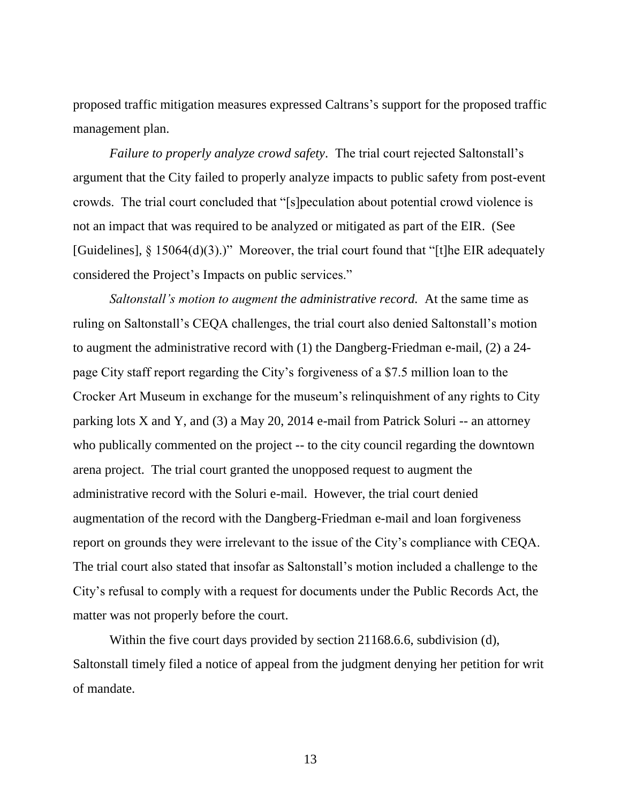proposed traffic mitigation measures expressed Caltrans's support for the proposed traffic management plan.

*Failure to properly analyze crowd safety*. The trial court rejected Saltonstall's argument that the City failed to properly analyze impacts to public safety from post-event crowds. The trial court concluded that "[s]peculation about potential crowd violence is not an impact that was required to be analyzed or mitigated as part of the EIR. (See [Guidelines],  $\S$  15064(d)(3).)" Moreover, the trial court found that "[t]he EIR adequately considered the Project's Impacts on public services."

*Saltonstall's motion to augment the administrative record.* At the same time as ruling on Saltonstall's CEQA challenges, the trial court also denied Saltonstall's motion to augment the administrative record with (1) the Dangberg-Friedman e-mail, (2) a 24 page City staff report regarding the City's forgiveness of a \$7.5 million loan to the Crocker Art Museum in exchange for the museum's relinquishment of any rights to City parking lots X and Y, and (3) a May 20, 2014 e-mail from Patrick Soluri -- an attorney who publically commented on the project -- to the city council regarding the downtown arena project. The trial court granted the unopposed request to augment the administrative record with the Soluri e-mail. However, the trial court denied augmentation of the record with the Dangberg-Friedman e-mail and loan forgiveness report on grounds they were irrelevant to the issue of the City's compliance with CEQA. The trial court also stated that insofar as Saltonstall's motion included a challenge to the City's refusal to comply with a request for documents under the Public Records Act, the matter was not properly before the court.

Within the five court days provided by section 21168.6.6, subdivision (d), Saltonstall timely filed a notice of appeal from the judgment denying her petition for writ of mandate.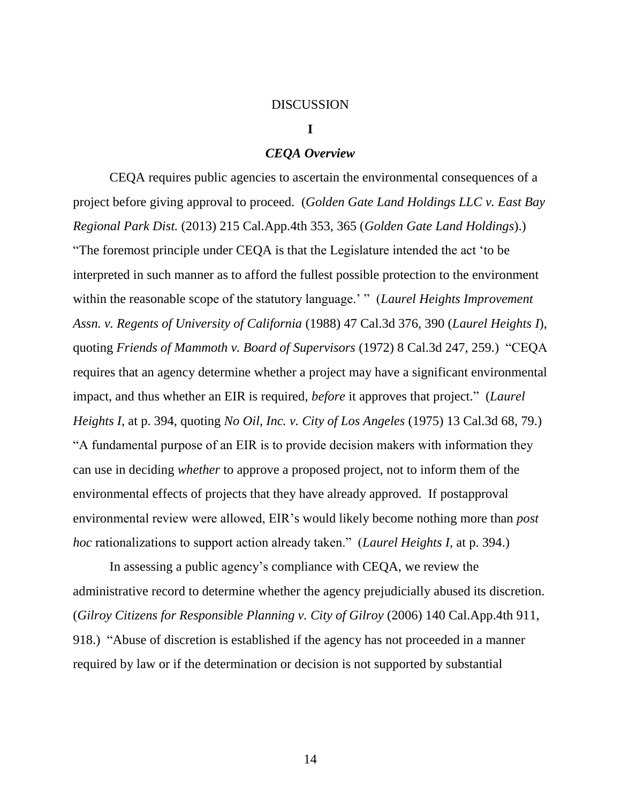#### **DISCUSSION**

#### **I**

## *CEQA Overview*

CEQA requires public agencies to ascertain the environmental consequences of a project before giving approval to proceed. (*Golden Gate Land Holdings LLC v. East Bay Regional Park Dist.* (2013) 215 Cal.App.4th 353, 365 (*Golden Gate Land Holdings*).) "The foremost principle under CEQA is that the Legislature intended the act 'to be interpreted in such manner as to afford the fullest possible protection to the environment within the reasonable scope of the statutory language.' " (*Laurel Heights Improvement Assn. v. Regents of University of California* (1988) 47 Cal.3d 376, 390 (*Laurel Heights I*), quoting *Friends of Mammoth v. Board of Supervisors* (1972) 8 Cal.3d 247, 259.) "CEQA requires that an agency determine whether a project may have a significant environmental impact, and thus whether an EIR is required, *before* it approves that project." (*Laurel Heights I*, at p. 394, quoting *No Oil, Inc. v. City of Los Angeles* (1975) 13 Cal.3d 68, 79.) "A fundamental purpose of an EIR is to provide decision makers with information they can use in deciding *whether* to approve a proposed project, not to inform them of the environmental effects of projects that they have already approved. If postapproval environmental review were allowed, EIR's would likely become nothing more than *post hoc* rationalizations to support action already taken." (*Laurel Heights I*, at p. 394.)

In assessing a public agency's compliance with CEQA, we review the administrative record to determine whether the agency prejudicially abused its discretion. (*Gilroy Citizens for Responsible Planning v. City of Gilroy* (2006) 140 Cal.App.4th 911, 918.) "Abuse of discretion is established if the agency has not proceeded in a manner required by law or if the determination or decision is not supported by substantial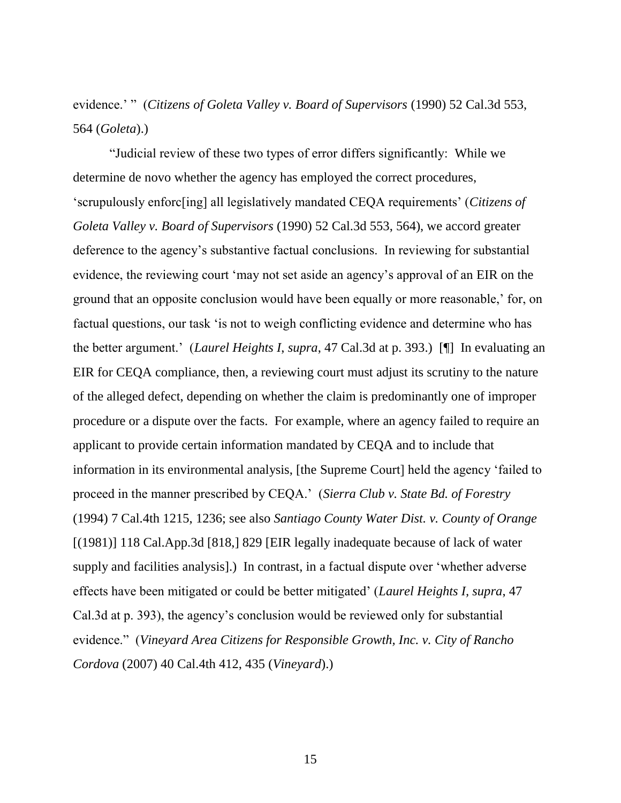evidence.' " (*Citizens of Goleta Valley v. Board of Supervisors* (1990) 52 Cal.3d 553, 564 (*Goleta*).)

"Judicial review of these two types of error differs significantly: While we determine de novo whether the agency has employed the correct procedures, 'scrupulously enforc[ing] all legislatively mandated CEQA requirements' (*Citizens of Goleta Valley v. Board of Supervisors* (1990) 52 Cal.3d 553, 564), we accord greater deference to the agency's substantive factual conclusions. In reviewing for substantial evidence, the reviewing court 'may not set aside an agency's approval of an EIR on the ground that an opposite conclusion would have been equally or more reasonable,' for, on factual questions, our task 'is not to weigh conflicting evidence and determine who has the better argument.' (*Laurel Heights I*, *supra*, 47 Cal.3d at p. 393.) [¶] In evaluating an EIR for CEQA compliance, then, a reviewing court must adjust its scrutiny to the nature of the alleged defect, depending on whether the claim is predominantly one of improper procedure or a dispute over the facts. For example, where an agency failed to require an applicant to provide certain information mandated by CEQA and to include that information in its environmental analysis, [the Supreme Court] held the agency 'failed to proceed in the manner prescribed by CEQA.' (*Sierra Club v. State Bd. of Forestry* (1994) 7 Cal.4th 1215, 1236; see also *Santiago County Water Dist. v. County of Orange* [(1981)] 118 Cal.App.3d [818,] 829 [EIR legally inadequate because of lack of water supply and facilities analysis].) In contrast, in a factual dispute over 'whether adverse effects have been mitigated or could be better mitigated' (*Laurel Heights I, supra*, 47 Cal.3d at p. 393), the agency's conclusion would be reviewed only for substantial evidence." (*Vineyard Area Citizens for Responsible Growth, Inc. v. City of Rancho Cordova* (2007) 40 Cal.4th 412, 435 (*Vineyard*).)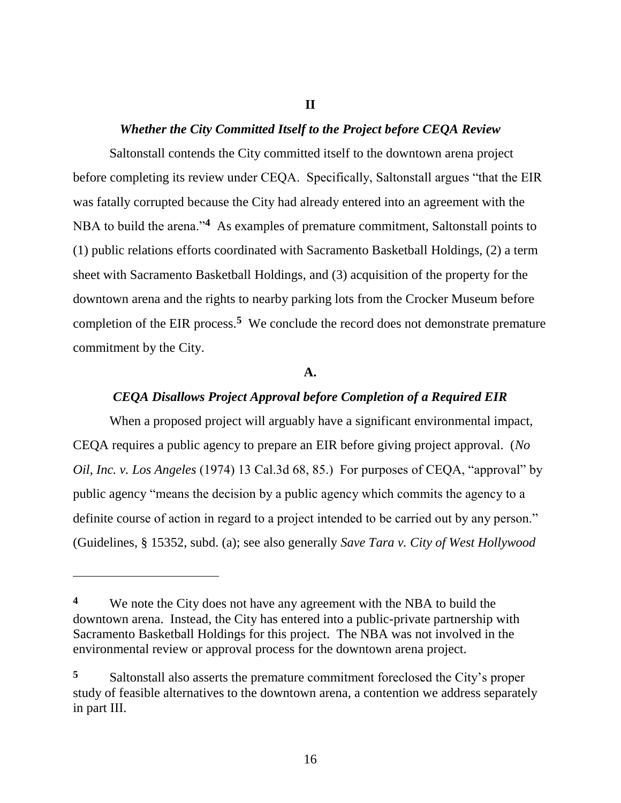## **II**

## *Whether the City Committed Itself to the Project before CEQA Review*

Saltonstall contends the City committed itself to the downtown arena project before completing its review under CEQA. Specifically, Saltonstall argues "that the EIR was fatally corrupted because the City had already entered into an agreement with the NBA to build the arena.<sup>24</sup> As examples of premature commitment, Saltonstall points to (1) public relations efforts coordinated with Sacramento Basketball Holdings, (2) a term sheet with Sacramento Basketball Holdings, and (3) acquisition of the property for the downtown arena and the rights to nearby parking lots from the Crocker Museum before completion of the EIR process.**<sup>5</sup>** We conclude the record does not demonstrate premature commitment by the City.

#### **A.**

# *CEQA Disallows Project Approval before Completion of a Required EIR*

When a proposed project will arguably have a significant environmental impact, CEQA requires a public agency to prepare an EIR before giving project approval. (*No Oil, Inc. v. Los Angeles* (1974) 13 Cal.3d 68, 85.) For purposes of CEQA, "approval" by public agency "means the decision by a public agency which commits the agency to a definite course of action in regard to a project intended to be carried out by any person." (Guidelines, § 15352, subd. (a); see also generally *Save Tara v. City of West Hollywood*

 $\overline{a}$ 

**<sup>4</sup>** We note the City does not have any agreement with the NBA to build the downtown arena. Instead, the City has entered into a public-private partnership with Sacramento Basketball Holdings for this project. The NBA was not involved in the environmental review or approval process for the downtown arena project.

**<sup>5</sup>** Saltonstall also asserts the premature commitment foreclosed the City's proper study of feasible alternatives to the downtown arena, a contention we address separately in part III.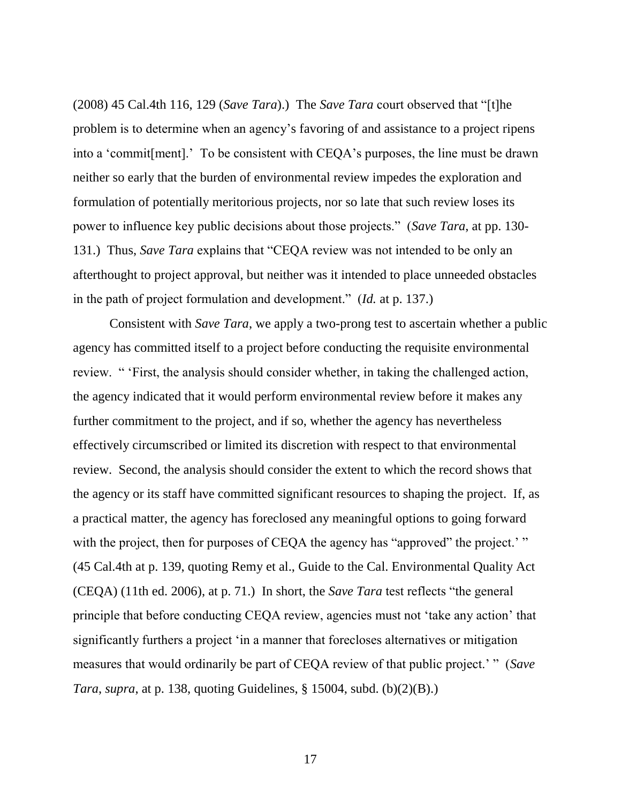(2008) 45 Cal.4th 116, 129 (*Save Tara*).) The *Save Tara* court observed that "[t]he problem is to determine when an agency's favoring of and assistance to a project ripens into a 'commit[ment].' To be consistent with CEQA's purposes, the line must be drawn neither so early that the burden of environmental review impedes the exploration and formulation of potentially meritorious projects, nor so late that such review loses its power to influence key public decisions about those projects." (*Save Tara*, at pp. 130- 131.) Thus, *Save Tara* explains that "CEQA review was not intended to be only an afterthought to project approval, but neither was it intended to place unneeded obstacles in the path of project formulation and development." (*Id.* at p. 137.)

Consistent with *Save Tara*, we apply a two-prong test to ascertain whether a public agency has committed itself to a project before conducting the requisite environmental review. " 'First, the analysis should consider whether, in taking the challenged action, the agency indicated that it would perform environmental review before it makes any further commitment to the project, and if so, whether the agency has nevertheless effectively circumscribed or limited its discretion with respect to that environmental review. Second, the analysis should consider the extent to which the record shows that the agency or its staff have committed significant resources to shaping the project. If, as a practical matter, the agency has foreclosed any meaningful options to going forward with the project, then for purposes of CEQA the agency has "approved" the project.' " (45 Cal.4th at p. 139, quoting Remy et al., Guide to the Cal. Environmental Quality Act (CEQA) (11th ed. 2006), at p. 71.) In short, the *Save Tara* test reflects "the general principle that before conducting CEQA review, agencies must not 'take any action' that significantly furthers a project 'in a manner that forecloses alternatives or mitigation measures that would ordinarily be part of CEQA review of that public project.' " (*Save Tara*, *supra*, at p. 138, quoting Guidelines, § 15004, subd. (b)(2)(B).)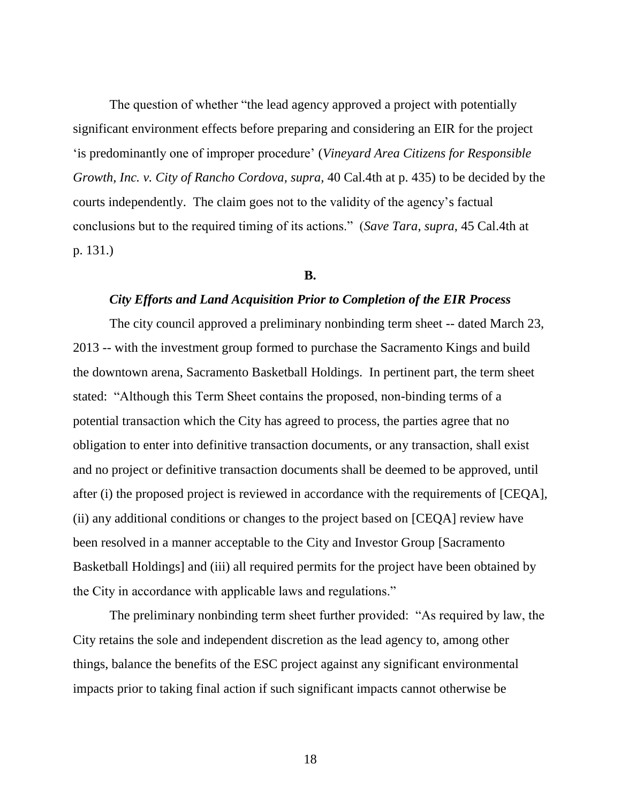The question of whether "the lead agency approved a project with potentially significant environment effects before preparing and considering an EIR for the project 'is predominantly one of improper procedure' (*Vineyard Area Citizens for Responsible Growth, Inc. v. City of Rancho Cordova, supra,* 40 Cal.4th at p. 435) to be decided by the courts independently. The claim goes not to the validity of the agency's factual conclusions but to the required timing of its actions." (*Save Tara*, *supra*, 45 Cal.4th at p. 131.)

#### **B.**

#### *City Efforts and Land Acquisition Prior to Completion of the EIR Process*

The city council approved a preliminary nonbinding term sheet -- dated March 23, 2013 -- with the investment group formed to purchase the Sacramento Kings and build the downtown arena, Sacramento Basketball Holdings. In pertinent part, the term sheet stated: "Although this Term Sheet contains the proposed, non-binding terms of a potential transaction which the City has agreed to process, the parties agree that no obligation to enter into definitive transaction documents, or any transaction, shall exist and no project or definitive transaction documents shall be deemed to be approved, until after (i) the proposed project is reviewed in accordance with the requirements of [CEQA], (ii) any additional conditions or changes to the project based on [CEQA] review have been resolved in a manner acceptable to the City and Investor Group [Sacramento Basketball Holdings] and (iii) all required permits for the project have been obtained by the City in accordance with applicable laws and regulations."

The preliminary nonbinding term sheet further provided: "As required by law, the City retains the sole and independent discretion as the lead agency to, among other things, balance the benefits of the ESC project against any significant environmental impacts prior to taking final action if such significant impacts cannot otherwise be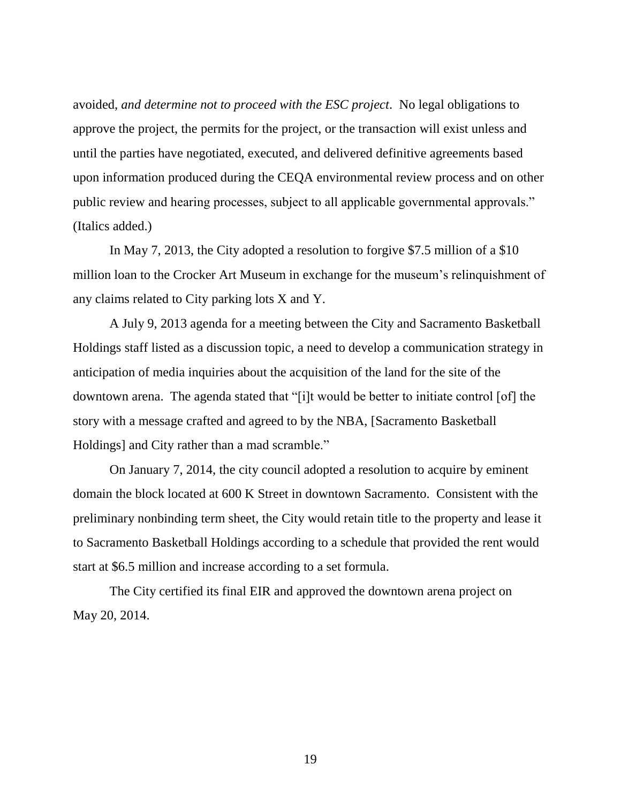avoided, *and determine not to proceed with the ESC project*. No legal obligations to approve the project, the permits for the project, or the transaction will exist unless and until the parties have negotiated, executed, and delivered definitive agreements based upon information produced during the CEQA environmental review process and on other public review and hearing processes, subject to all applicable governmental approvals." (Italics added.)

In May 7, 2013, the City adopted a resolution to forgive \$7.5 million of a \$10 million loan to the Crocker Art Museum in exchange for the museum's relinquishment of any claims related to City parking lots X and Y.

A July 9, 2013 agenda for a meeting between the City and Sacramento Basketball Holdings staff listed as a discussion topic, a need to develop a communication strategy in anticipation of media inquiries about the acquisition of the land for the site of the downtown arena. The agenda stated that "[i]t would be better to initiate control [of] the story with a message crafted and agreed to by the NBA, [Sacramento Basketball Holdings] and City rather than a mad scramble."

On January 7, 2014, the city council adopted a resolution to acquire by eminent domain the block located at 600 K Street in downtown Sacramento. Consistent with the preliminary nonbinding term sheet, the City would retain title to the property and lease it to Sacramento Basketball Holdings according to a schedule that provided the rent would start at \$6.5 million and increase according to a set formula.

The City certified its final EIR and approved the downtown arena project on May 20, 2014.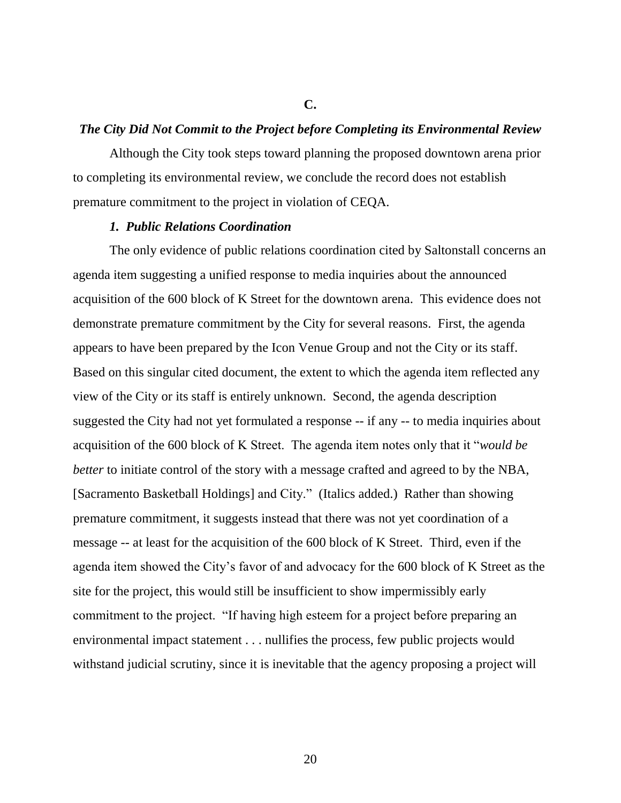#### **C.**

## *The City Did Not Commit to the Project before Completing its Environmental Review*

Although the City took steps toward planning the proposed downtown arena prior to completing its environmental review, we conclude the record does not establish premature commitment to the project in violation of CEQA.

#### *1. Public Relations Coordination*

The only evidence of public relations coordination cited by Saltonstall concerns an agenda item suggesting a unified response to media inquiries about the announced acquisition of the 600 block of K Street for the downtown arena. This evidence does not demonstrate premature commitment by the City for several reasons. First, the agenda appears to have been prepared by the Icon Venue Group and not the City or its staff. Based on this singular cited document, the extent to which the agenda item reflected any view of the City or its staff is entirely unknown. Second, the agenda description suggested the City had not yet formulated a response -- if any -- to media inquiries about acquisition of the 600 block of K Street. The agenda item notes only that it "*would be better* to initiate control of the story with a message crafted and agreed to by the NBA, [Sacramento Basketball Holdings] and City." (Italics added.) Rather than showing premature commitment, it suggests instead that there was not yet coordination of a message -- at least for the acquisition of the 600 block of K Street. Third, even if the agenda item showed the City's favor of and advocacy for the 600 block of K Street as the site for the project, this would still be insufficient to show impermissibly early commitment to the project. "If having high esteem for a project before preparing an environmental impact statement . . . nullifies the process, few public projects would withstand judicial scrutiny, since it is inevitable that the agency proposing a project will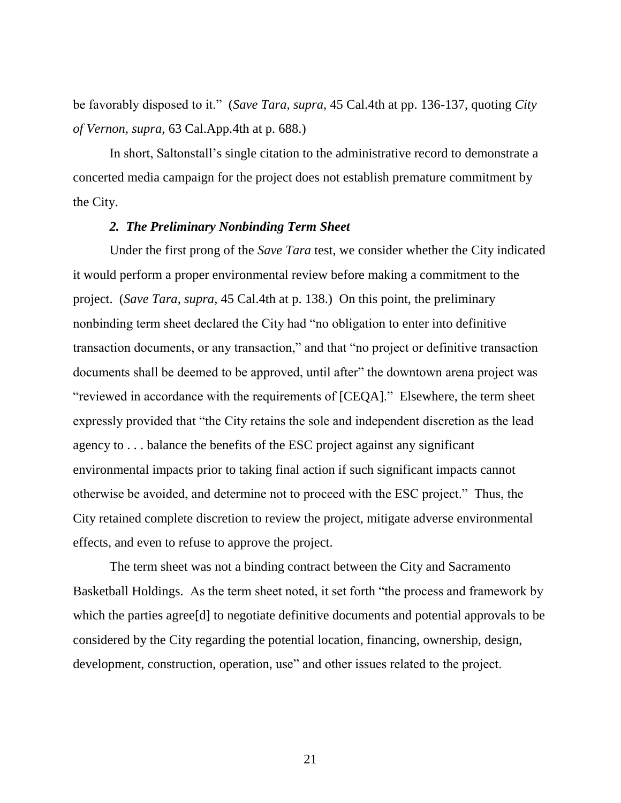be favorably disposed to it." (*Save Tara, supra*, 45 Cal.4th at pp. 136-137, quoting *City of Vernon, supra*, 63 Cal.App.4th at p. 688.)

In short, Saltonstall's single citation to the administrative record to demonstrate a concerted media campaign for the project does not establish premature commitment by the City.

## *2. The Preliminary Nonbinding Term Sheet*

Under the first prong of the *Save Tara* test, we consider whether the City indicated it would perform a proper environmental review before making a commitment to the project. (*Save Tara*, *supra*, 45 Cal.4th at p. 138.) On this point, the preliminary nonbinding term sheet declared the City had "no obligation to enter into definitive transaction documents, or any transaction," and that "no project or definitive transaction documents shall be deemed to be approved, until after" the downtown arena project was "reviewed in accordance with the requirements of [CEQA]." Elsewhere, the term sheet expressly provided that "the City retains the sole and independent discretion as the lead agency to . . . balance the benefits of the ESC project against any significant environmental impacts prior to taking final action if such significant impacts cannot otherwise be avoided, and determine not to proceed with the ESC project." Thus, the City retained complete discretion to review the project, mitigate adverse environmental effects, and even to refuse to approve the project.

The term sheet was not a binding contract between the City and Sacramento Basketball Holdings. As the term sheet noted, it set forth "the process and framework by which the parties agree[d] to negotiate definitive documents and potential approvals to be considered by the City regarding the potential location, financing, ownership, design, development, construction, operation, use" and other issues related to the project.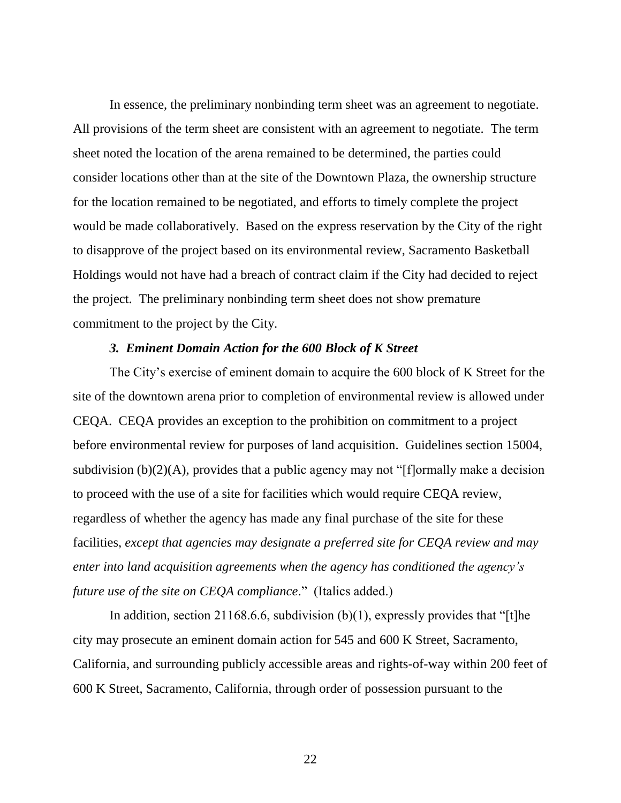In essence, the preliminary nonbinding term sheet was an agreement to negotiate. All provisions of the term sheet are consistent with an agreement to negotiate. The term sheet noted the location of the arena remained to be determined, the parties could consider locations other than at the site of the Downtown Plaza, the ownership structure for the location remained to be negotiated, and efforts to timely complete the project would be made collaboratively. Based on the express reservation by the City of the right to disapprove of the project based on its environmental review, Sacramento Basketball Holdings would not have had a breach of contract claim if the City had decided to reject the project. The preliminary nonbinding term sheet does not show premature commitment to the project by the City.

## *3. Eminent Domain Action for the 600 Block of K Street*

The City's exercise of eminent domain to acquire the 600 block of K Street for the site of the downtown arena prior to completion of environmental review is allowed under CEQA. CEQA provides an exception to the prohibition on commitment to a project before environmental review for purposes of land acquisition. Guidelines section 15004, subdivision (b)(2)(A), provides that a public agency may not "[f]ormally make a decision to proceed with the use of a site for facilities which would require CEQA review, regardless of whether the agency has made any final purchase of the site for these facilities, *except that agencies may designate a preferred site for CEQA review and may enter into land acquisition agreements when the agency has conditioned the agency's future use of the site on CEQA compliance*." (Italics added.)

In addition, section 21168.6.6, subdivision  $(b)(1)$ , expressly provides that "[t]he city may prosecute an eminent domain action for 545 and 600 K Street, Sacramento, California, and surrounding publicly accessible areas and rights-of-way within 200 feet of 600 K Street, Sacramento, California, through order of possession pursuant to the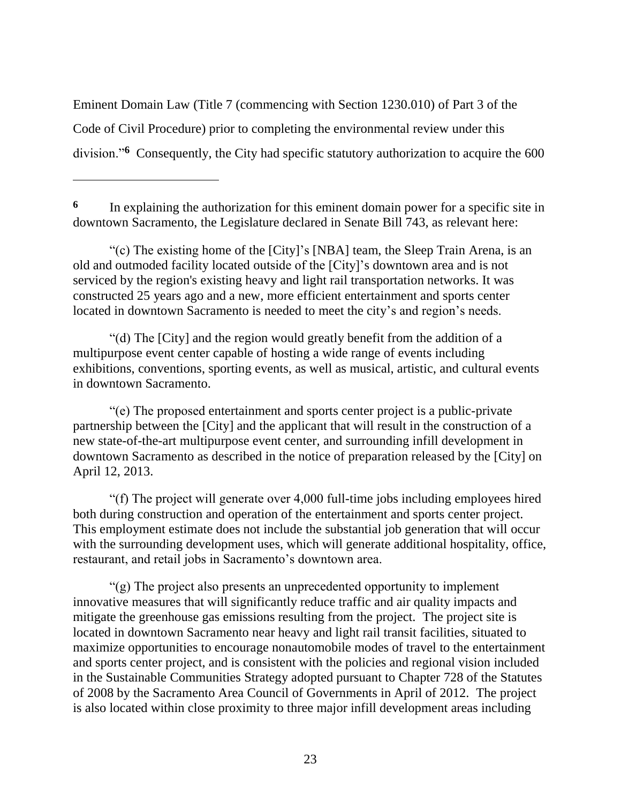Eminent Domain Law (Title 7 (commencing with Section 1230.010) of Part 3 of the Code of Civil Procedure) prior to completing the environmental review under this division."**<sup>6</sup>** Consequently, the City had specific statutory authorization to acquire the 600

**6** In explaining the authorization for this eminent domain power for a specific site in downtown Sacramento, the Legislature declared in Senate Bill 743, as relevant here:

"(c) The existing home of the [City]'s [NBA] team, the Sleep Train Arena, is an old and outmoded facility located outside of the [City]'s downtown area and is not serviced by the region's existing heavy and light rail transportation networks. It was constructed 25 years ago and a new, more efficient entertainment and sports center located in downtown Sacramento is needed to meet the city's and region's needs.

"(d) The [City] and the region would greatly benefit from the addition of a multipurpose event center capable of hosting a wide range of events including exhibitions, conventions, sporting events, as well as musical, artistic, and cultural events in downtown Sacramento.

"(e) The proposed entertainment and sports center project is a public-private partnership between the [City] and the applicant that will result in the construction of a new state-of-the-art multipurpose event center, and surrounding infill development in downtown Sacramento as described in the notice of preparation released by the [City] on April 12, 2013.

"(f) The project will generate over 4,000 full-time jobs including employees hired both during construction and operation of the entertainment and sports center project. This employment estimate does not include the substantial job generation that will occur with the surrounding development uses, which will generate additional hospitality, office, restaurant, and retail jobs in Sacramento's downtown area.

"(g) The project also presents an unprecedented opportunity to implement innovative measures that will significantly reduce traffic and air quality impacts and mitigate the greenhouse gas emissions resulting from the project. The project site is located in downtown Sacramento near heavy and light rail transit facilities, situated to maximize opportunities to encourage nonautomobile modes of travel to the entertainment and sports center project, and is consistent with the policies and regional vision included in the Sustainable Communities Strategy adopted pursuant to Chapter 728 of the Statutes of 2008 by the Sacramento Area Council of Governments in April of 2012. The project is also located within close proximity to three major infill development areas including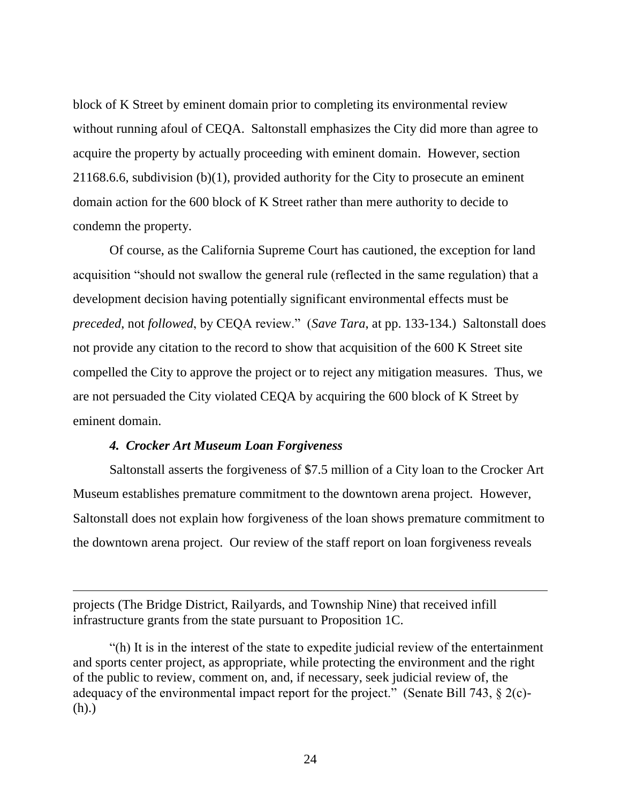block of K Street by eminent domain prior to completing its environmental review without running afoul of CEQA. Saltonstall emphasizes the City did more than agree to acquire the property by actually proceeding with eminent domain. However, section 21168.6.6, subdivision (b)(1), provided authority for the City to prosecute an eminent domain action for the 600 block of K Street rather than mere authority to decide to condemn the property.

Of course, as the California Supreme Court has cautioned, the exception for land acquisition "should not swallow the general rule (reflected in the same regulation) that a development decision having potentially significant environmental effects must be *preceded*, not *followed*, by CEQA review." (*Save Tara*, at pp. 133-134.) Saltonstall does not provide any citation to the record to show that acquisition of the 600 K Street site compelled the City to approve the project or to reject any mitigation measures. Thus, we are not persuaded the City violated CEQA by acquiring the 600 block of K Street by eminent domain.

## *4. Crocker Art Museum Loan Forgiveness*

Saltonstall asserts the forgiveness of \$7.5 million of a City loan to the Crocker Art Museum establishes premature commitment to the downtown arena project. However, Saltonstall does not explain how forgiveness of the loan shows premature commitment to the downtown arena project. Our review of the staff report on loan forgiveness reveals

projects (The Bridge District, Railyards, and Township Nine) that received infill infrastructure grants from the state pursuant to Proposition 1C.

"(h) It is in the interest of the state to expedite judicial review of the entertainment and sports center project, as appropriate, while protecting the environment and the right of the public to review, comment on, and, if necessary, seek judicial review of, the adequacy of the environmental impact report for the project." (Senate Bill 743, § 2(c)- (h).)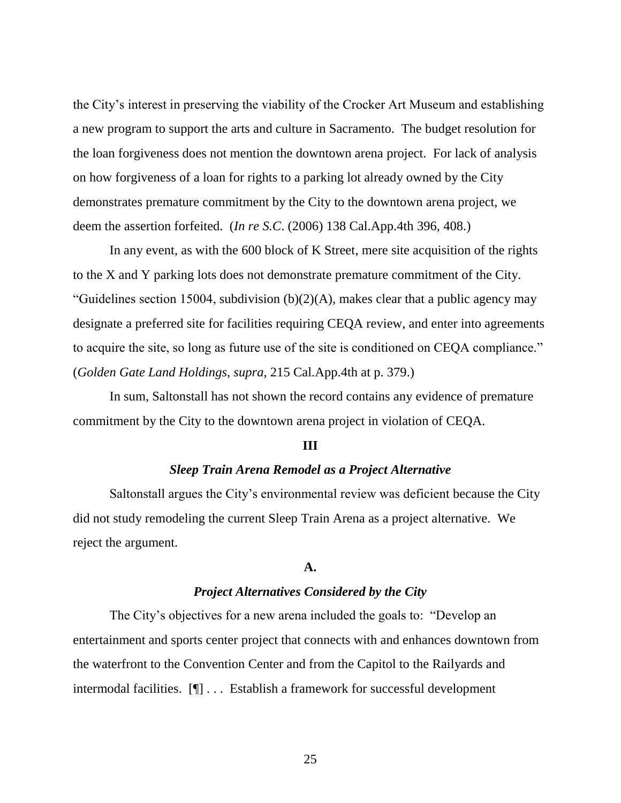the City's interest in preserving the viability of the Crocker Art Museum and establishing a new program to support the arts and culture in Sacramento. The budget resolution for the loan forgiveness does not mention the downtown arena project. For lack of analysis on how forgiveness of a loan for rights to a parking lot already owned by the City demonstrates premature commitment by the City to the downtown arena project, we deem the assertion forfeited. (*In re S.C*. (2006) 138 Cal.App.4th 396, 408.)

In any event, as with the 600 block of K Street, mere site acquisition of the rights to the X and Y parking lots does not demonstrate premature commitment of the City. "Guidelines section 15004, subdivision  $(b)(2)(A)$ , makes clear that a public agency may designate a preferred site for facilities requiring CEQA review, and enter into agreements to acquire the site, so long as future use of the site is conditioned on CEQA compliance." (*Golden Gate Land Holdings*, *supra*, 215 Cal.App.4th at p. 379.)

In sum, Saltonstall has not shown the record contains any evidence of premature commitment by the City to the downtown arena project in violation of CEQA.

#### **III**

## *Sleep Train Arena Remodel as a Project Alternative*

Saltonstall argues the City's environmental review was deficient because the City did not study remodeling the current Sleep Train Arena as a project alternative. We reject the argument.

#### **A.**

## *Project Alternatives Considered by the City*

The City's objectives for a new arena included the goals to: "Develop an entertainment and sports center project that connects with and enhances downtown from the waterfront to the Convention Center and from the Capitol to the Railyards and intermodal facilities. [¶] . . . Establish a framework for successful development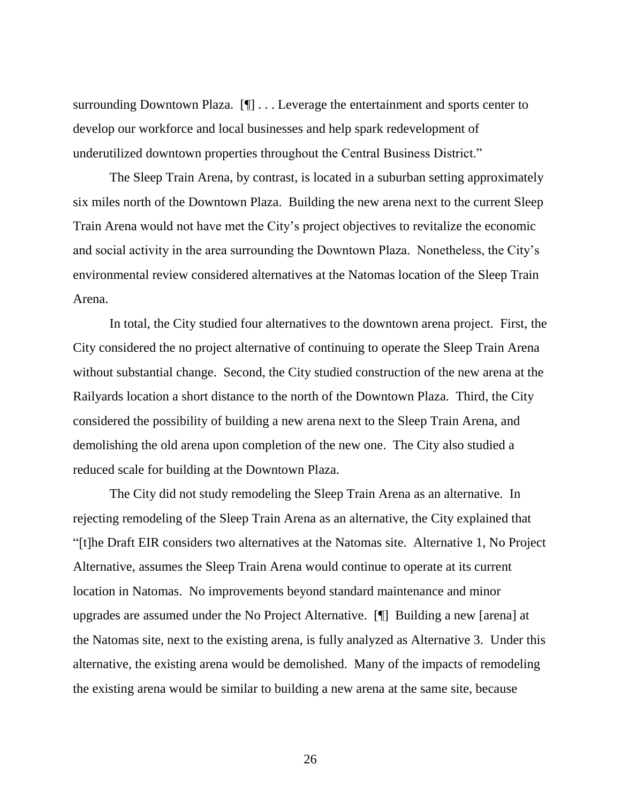surrounding Downtown Plaza. [¶] . . . Leverage the entertainment and sports center to develop our workforce and local businesses and help spark redevelopment of underutilized downtown properties throughout the Central Business District."

The Sleep Train Arena, by contrast, is located in a suburban setting approximately six miles north of the Downtown Plaza. Building the new arena next to the current Sleep Train Arena would not have met the City's project objectives to revitalize the economic and social activity in the area surrounding the Downtown Plaza. Nonetheless, the City's environmental review considered alternatives at the Natomas location of the Sleep Train Arena.

In total, the City studied four alternatives to the downtown arena project. First, the City considered the no project alternative of continuing to operate the Sleep Train Arena without substantial change. Second, the City studied construction of the new arena at the Railyards location a short distance to the north of the Downtown Plaza. Third, the City considered the possibility of building a new arena next to the Sleep Train Arena, and demolishing the old arena upon completion of the new one. The City also studied a reduced scale for building at the Downtown Plaza.

The City did not study remodeling the Sleep Train Arena as an alternative. In rejecting remodeling of the Sleep Train Arena as an alternative, the City explained that "[t]he Draft EIR considers two alternatives at the Natomas site. Alternative 1, No Project Alternative, assumes the Sleep Train Arena would continue to operate at its current location in Natomas. No improvements beyond standard maintenance and minor upgrades are assumed under the No Project Alternative. [¶] Building a new [arena] at the Natomas site, next to the existing arena, is fully analyzed as Alternative 3. Under this alternative, the existing arena would be demolished. Many of the impacts of remodeling the existing arena would be similar to building a new arena at the same site, because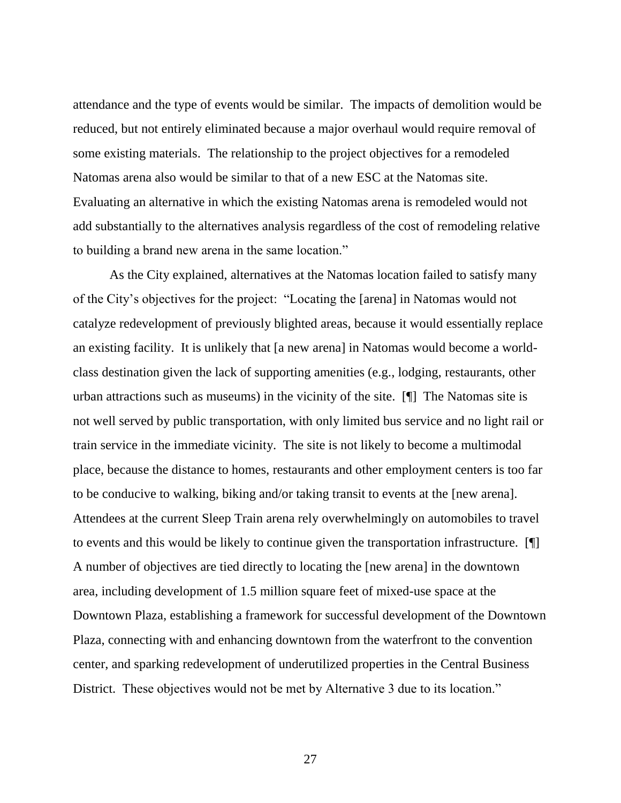attendance and the type of events would be similar. The impacts of demolition would be reduced, but not entirely eliminated because a major overhaul would require removal of some existing materials. The relationship to the project objectives for a remodeled Natomas arena also would be similar to that of a new ESC at the Natomas site. Evaluating an alternative in which the existing Natomas arena is remodeled would not add substantially to the alternatives analysis regardless of the cost of remodeling relative to building a brand new arena in the same location."

As the City explained, alternatives at the Natomas location failed to satisfy many of the City's objectives for the project: "Locating the [arena] in Natomas would not catalyze redevelopment of previously blighted areas, because it would essentially replace an existing facility. It is unlikely that [a new arena] in Natomas would become a worldclass destination given the lack of supporting amenities (e.g., lodging, restaurants, other urban attractions such as museums) in the vicinity of the site. [¶] The Natomas site is not well served by public transportation, with only limited bus service and no light rail or train service in the immediate vicinity. The site is not likely to become a multimodal place, because the distance to homes, restaurants and other employment centers is too far to be conducive to walking, biking and/or taking transit to events at the [new arena]. Attendees at the current Sleep Train arena rely overwhelmingly on automobiles to travel to events and this would be likely to continue given the transportation infrastructure. [¶] A number of objectives are tied directly to locating the [new arena] in the downtown area, including development of 1.5 million square feet of mixed-use space at the Downtown Plaza, establishing a framework for successful development of the Downtown Plaza, connecting with and enhancing downtown from the waterfront to the convention center, and sparking redevelopment of underutilized properties in the Central Business District. These objectives would not be met by Alternative 3 due to its location."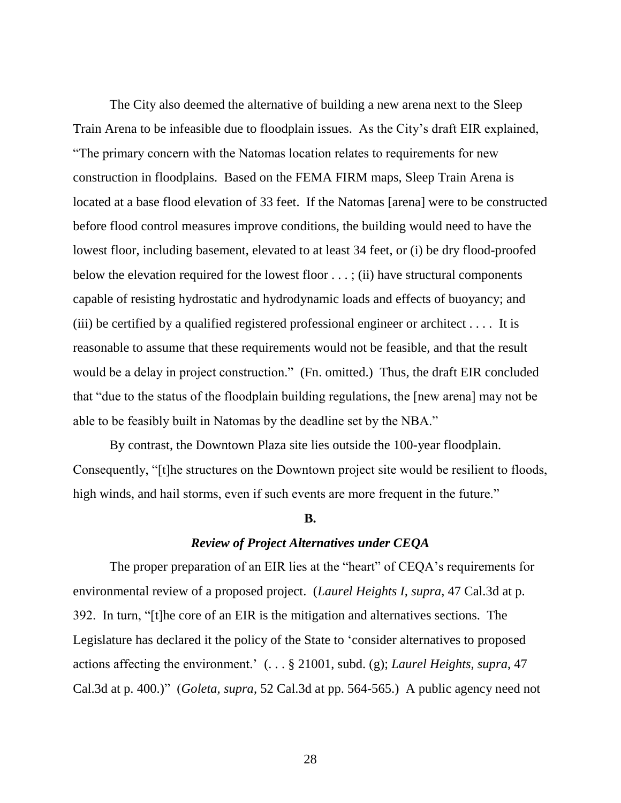The City also deemed the alternative of building a new arena next to the Sleep Train Arena to be infeasible due to floodplain issues. As the City's draft EIR explained, "The primary concern with the Natomas location relates to requirements for new construction in floodplains. Based on the FEMA FIRM maps, Sleep Train Arena is located at a base flood elevation of 33 feet. If the Natomas [arena] were to be constructed before flood control measures improve conditions, the building would need to have the lowest floor, including basement, elevated to at least 34 feet, or (i) be dry flood-proofed below the elevation required for the lowest floor . . . ; (ii) have structural components capable of resisting hydrostatic and hydrodynamic loads and effects of buoyancy; and (iii) be certified by a qualified registered professional engineer or architect  $\dots$ . It is reasonable to assume that these requirements would not be feasible, and that the result would be a delay in project construction." (Fn. omitted.) Thus, the draft EIR concluded that "due to the status of the floodplain building regulations, the [new arena] may not be able to be feasibly built in Natomas by the deadline set by the NBA."

By contrast, the Downtown Plaza site lies outside the 100-year floodplain. Consequently, "[t]he structures on the Downtown project site would be resilient to floods, high winds, and hail storms, even if such events are more frequent in the future."

## **B.**

#### *Review of Project Alternatives under CEQA*

The proper preparation of an EIR lies at the "heart" of CEQA's requirements for environmental review of a proposed project. (*Laurel Heights I, supra*, 47 Cal.3d at p. 392. In turn, "[t]he core of an EIR is the mitigation and alternatives sections. The Legislature has declared it the policy of the State to 'consider alternatives to proposed actions affecting the environment.' (. . . § 21001, subd. (g); *Laurel Heights, supra*, 47 Cal.3d at p. 400.)" (*Goleta, supra*, 52 Cal.3d at pp. 564-565.) A public agency need not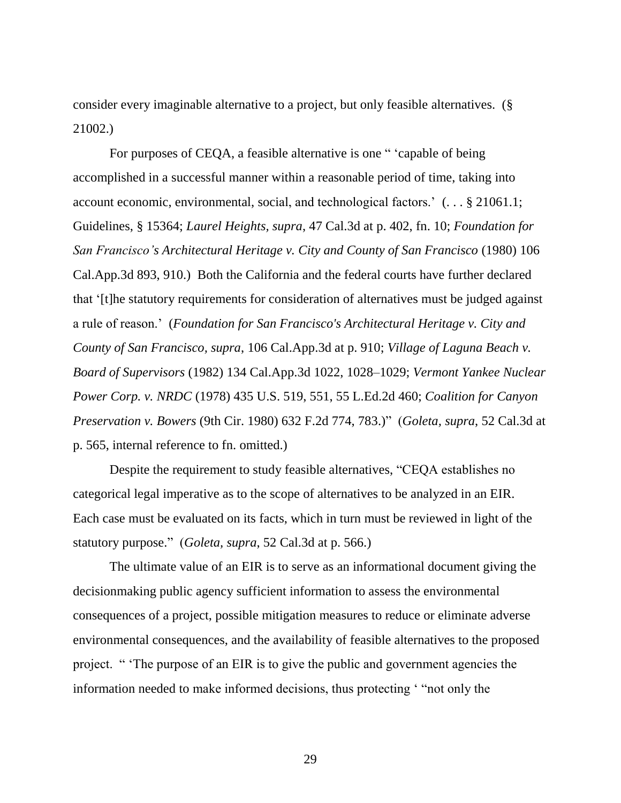consider every imaginable alternative to a project, but only feasible alternatives. (§ 21002.)

For purposes of CEQA, a feasible alternative is one " 'capable of being accomplished in a successful manner within a reasonable period of time, taking into account economic, environmental, social, and technological factors.' (. . . § 21061.1; Guidelines, § 15364; *Laurel Heights, supra*, 47 Cal.3d at p. 402, fn. 10; *Foundation for San Francisco's Architectural Heritage v. City and County of San Francisco* (1980) 106 Cal.App.3d 893, 910.) Both the California and the federal courts have further declared that '[t]he statutory requirements for consideration of alternatives must be judged against a rule of reason.' (*Foundation for San Francisco's Architectural Heritage v. City and County of San Francisco, supra*, 106 Cal.App.3d at p. 910; *Village of Laguna Beach v. Board of Supervisors* (1982) 134 Cal.App.3d 1022, 1028–1029; *Vermont Yankee Nuclear Power Corp. v. NRDC* (1978) 435 U.S. 519, 551, 55 L.Ed.2d 460; *Coalition for Canyon Preservation v. Bowers* (9th Cir. 1980) 632 F.2d 774, 783.)" (*Goleta, supra*, 52 Cal.3d at p. 565, internal reference to fn. omitted.)

Despite the requirement to study feasible alternatives, "CEQA establishes no categorical legal imperative as to the scope of alternatives to be analyzed in an EIR. Each case must be evaluated on its facts, which in turn must be reviewed in light of the statutory purpose." (*Goleta, supra*, 52 Cal.3d at p. 566.)

The ultimate value of an EIR is to serve as an informational document giving the decisionmaking public agency sufficient information to assess the environmental consequences of a project, possible mitigation measures to reduce or eliminate adverse environmental consequences, and the availability of feasible alternatives to the proposed project. " 'The purpose of an EIR is to give the public and government agencies the information needed to make informed decisions, thus protecting ' "not only the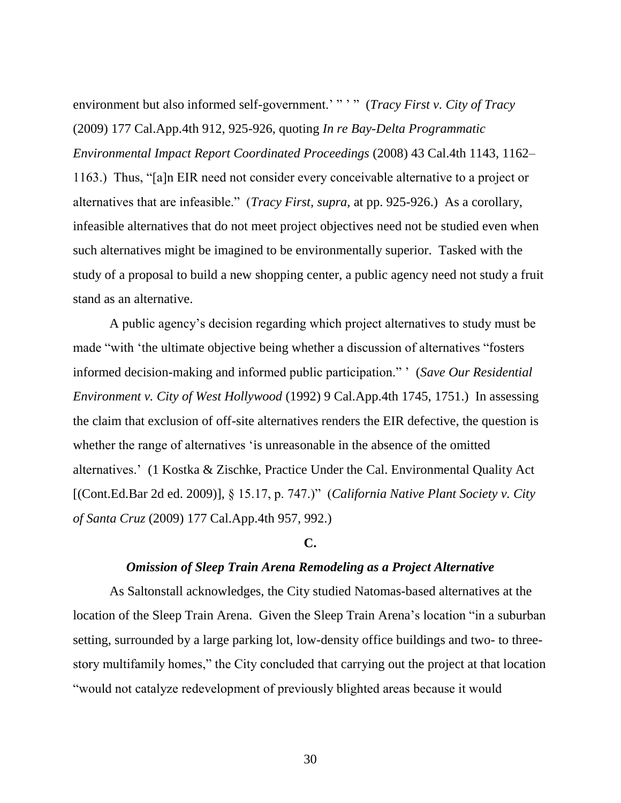environment but also informed self-government.'" " " (*Tracy First v. City of Tracy* (2009) 177 Cal.App.4th 912, 925-926, quoting *In re Bay-Delta Programmatic Environmental Impact Report Coordinated Proceedings* (2008) 43 Cal.4th 1143, 1162– 1163.) Thus, "[a]n EIR need not consider every conceivable alternative to a project or alternatives that are infeasible." (*Tracy First, supra,* at pp. 925-926.) As a corollary, infeasible alternatives that do not meet project objectives need not be studied even when such alternatives might be imagined to be environmentally superior. Tasked with the study of a proposal to build a new shopping center, a public agency need not study a fruit stand as an alternative.

A public agency's decision regarding which project alternatives to study must be made "with 'the ultimate objective being whether a discussion of alternatives "fosters informed decision-making and informed public participation." ' (*Save Our Residential Environment v. City of West Hollywood* (1992) 9 Cal.App.4th 1745, 1751.) In assessing the claim that exclusion of off-site alternatives renders the EIR defective, the question is whether the range of alternatives 'is unreasonable in the absence of the omitted alternatives.' (1 Kostka & Zischke, Practice Under the Cal. Environmental Quality Act [(Cont.Ed.Bar 2d ed. 2009)], § 15.17, p. 747.)" (*California Native Plant Society v. City of Santa Cruz* (2009) 177 Cal.App.4th 957, 992.)

# **C.**

## *Omission of Sleep Train Arena Remodeling as a Project Alternative*

As Saltonstall acknowledges, the City studied Natomas-based alternatives at the location of the Sleep Train Arena. Given the Sleep Train Arena's location "in a suburban setting, surrounded by a large parking lot, low-density office buildings and two- to threestory multifamily homes," the City concluded that carrying out the project at that location "would not catalyze redevelopment of previously blighted areas because it would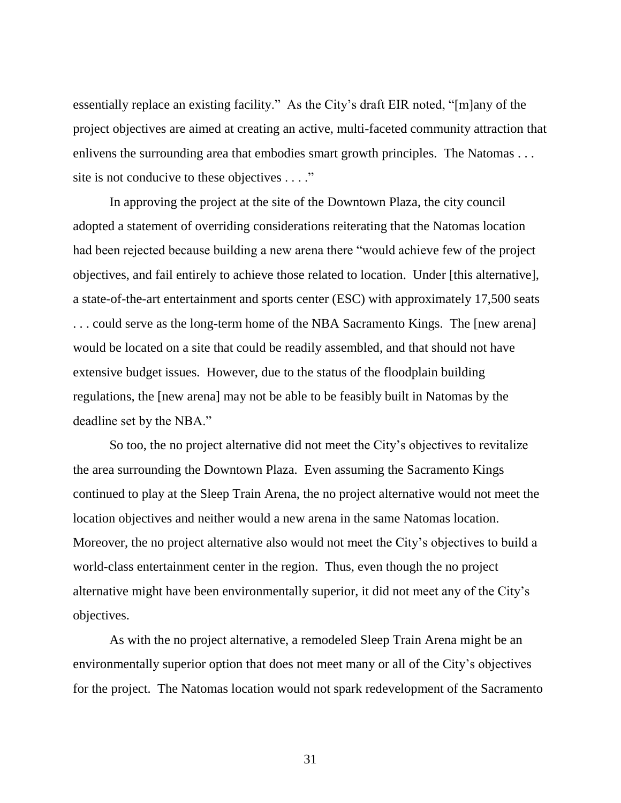essentially replace an existing facility." As the City's draft EIR noted, "[m]any of the project objectives are aimed at creating an active, multi-faceted community attraction that enlivens the surrounding area that embodies smart growth principles. The Natomas ... site is not conducive to these objectives . . . ."

In approving the project at the site of the Downtown Plaza, the city council adopted a statement of overriding considerations reiterating that the Natomas location had been rejected because building a new arena there "would achieve few of the project objectives, and fail entirely to achieve those related to location. Under [this alternative], a state-of-the-art entertainment and sports center (ESC) with approximately 17,500 seats . . . could serve as the long-term home of the NBA Sacramento Kings. The [new arena] would be located on a site that could be readily assembled, and that should not have extensive budget issues. However, due to the status of the floodplain building regulations, the [new arena] may not be able to be feasibly built in Natomas by the deadline set by the NBA."

So too, the no project alternative did not meet the City's objectives to revitalize the area surrounding the Downtown Plaza. Even assuming the Sacramento Kings continued to play at the Sleep Train Arena, the no project alternative would not meet the location objectives and neither would a new arena in the same Natomas location. Moreover, the no project alternative also would not meet the City's objectives to build a world-class entertainment center in the region. Thus, even though the no project alternative might have been environmentally superior, it did not meet any of the City's objectives.

As with the no project alternative, a remodeled Sleep Train Arena might be an environmentally superior option that does not meet many or all of the City's objectives for the project. The Natomas location would not spark redevelopment of the Sacramento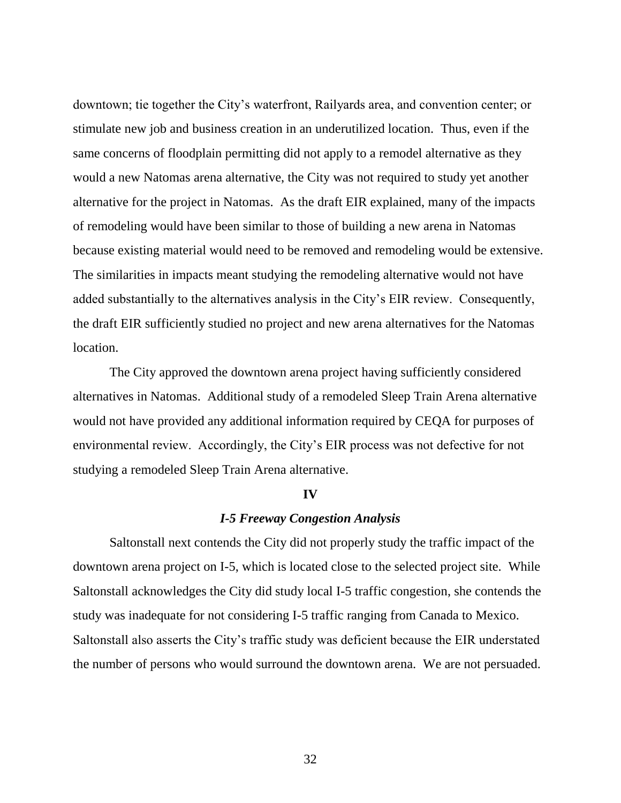downtown; tie together the City's waterfront, Railyards area, and convention center; or stimulate new job and business creation in an underutilized location. Thus, even if the same concerns of floodplain permitting did not apply to a remodel alternative as they would a new Natomas arena alternative, the City was not required to study yet another alternative for the project in Natomas. As the draft EIR explained, many of the impacts of remodeling would have been similar to those of building a new arena in Natomas because existing material would need to be removed and remodeling would be extensive. The similarities in impacts meant studying the remodeling alternative would not have added substantially to the alternatives analysis in the City's EIR review. Consequently, the draft EIR sufficiently studied no project and new arena alternatives for the Natomas location.

The City approved the downtown arena project having sufficiently considered alternatives in Natomas. Additional study of a remodeled Sleep Train Arena alternative would not have provided any additional information required by CEQA for purposes of environmental review. Accordingly, the City's EIR process was not defective for not studying a remodeled Sleep Train Arena alternative.

#### **IV**

# *I-5 Freeway Congestion Analysis*

Saltonstall next contends the City did not properly study the traffic impact of the downtown arena project on I-5, which is located close to the selected project site. While Saltonstall acknowledges the City did study local I-5 traffic congestion, she contends the study was inadequate for not considering I-5 traffic ranging from Canada to Mexico. Saltonstall also asserts the City's traffic study was deficient because the EIR understated the number of persons who would surround the downtown arena. We are not persuaded.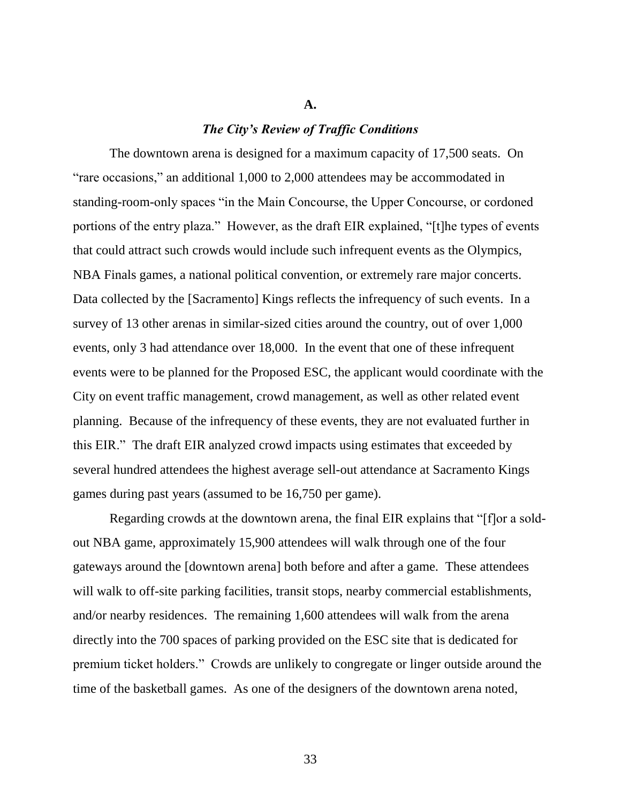# *The City's Review of Traffic Conditions*

**A.**

The downtown arena is designed for a maximum capacity of 17,500 seats. On "rare occasions," an additional 1,000 to 2,000 attendees may be accommodated in standing-room-only spaces "in the Main Concourse, the Upper Concourse, or cordoned portions of the entry plaza." However, as the draft EIR explained, "[t]he types of events that could attract such crowds would include such infrequent events as the Olympics, NBA Finals games, a national political convention, or extremely rare major concerts. Data collected by the [Sacramento] Kings reflects the infrequency of such events. In a survey of 13 other arenas in similar-sized cities around the country, out of over 1,000 events, only 3 had attendance over 18,000. In the event that one of these infrequent events were to be planned for the Proposed ESC, the applicant would coordinate with the City on event traffic management, crowd management, as well as other related event planning. Because of the infrequency of these events, they are not evaluated further in this EIR." The draft EIR analyzed crowd impacts using estimates that exceeded by several hundred attendees the highest average sell-out attendance at Sacramento Kings games during past years (assumed to be 16,750 per game).

Regarding crowds at the downtown arena, the final EIR explains that "[f]or a soldout NBA game, approximately 15,900 attendees will walk through one of the four gateways around the [downtown arena] both before and after a game. These attendees will walk to off-site parking facilities, transit stops, nearby commercial establishments, and/or nearby residences. The remaining 1,600 attendees will walk from the arena directly into the 700 spaces of parking provided on the ESC site that is dedicated for premium ticket holders." Crowds are unlikely to congregate or linger outside around the time of the basketball games. As one of the designers of the downtown arena noted,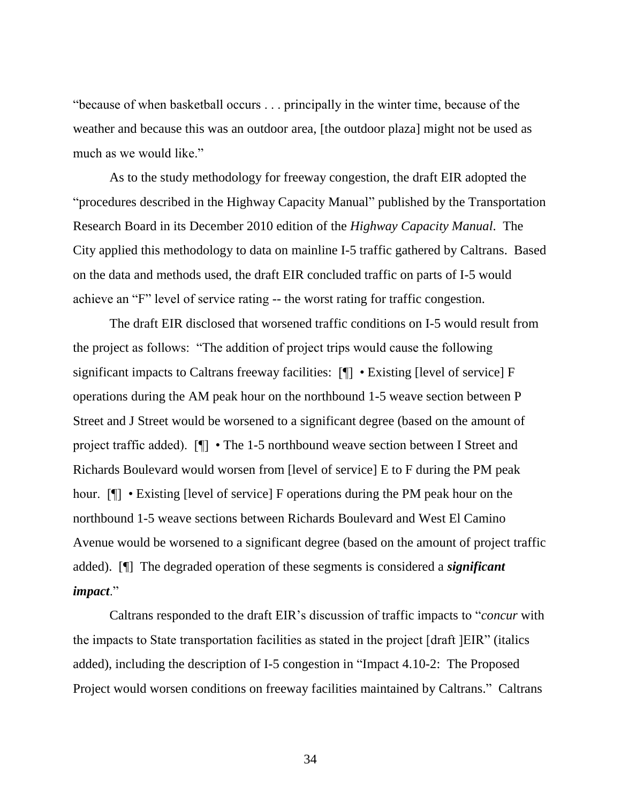"because of when basketball occurs . . . principally in the winter time, because of the weather and because this was an outdoor area, [the outdoor plaza] might not be used as much as we would like."

As to the study methodology for freeway congestion, the draft EIR adopted the "procedures described in the Highway Capacity Manual" published by the Transportation Research Board in its December 2010 edition of the *Highway Capacity Manual*. The City applied this methodology to data on mainline I-5 traffic gathered by Caltrans. Based on the data and methods used, the draft EIR concluded traffic on parts of I-5 would achieve an "F" level of service rating -- the worst rating for traffic congestion.

The draft EIR disclosed that worsened traffic conditions on I-5 would result from the project as follows: "The addition of project trips would cause the following significant impacts to Caltrans freeway facilities: [¶] • Existing [level of service] F operations during the AM peak hour on the northbound 1-5 weave section between P Street and J Street would be worsened to a significant degree (based on the amount of project traffic added). [¶] • The 1-5 northbound weave section between I Street and Richards Boulevard would worsen from [level of service] E to F during the PM peak hour. [¶] • Existing [level of service] F operations during the PM peak hour on the northbound 1-5 weave sections between Richards Boulevard and West El Camino Avenue would be worsened to a significant degree (based on the amount of project traffic added). [¶] The degraded operation of these segments is considered a *significant impact*."

Caltrans responded to the draft EIR's discussion of traffic impacts to "*concur* with the impacts to State transportation facilities as stated in the project [draft ]EIR" (italics added), including the description of I-5 congestion in "Impact 4.10-2: The Proposed Project would worsen conditions on freeway facilities maintained by Caltrans." Caltrans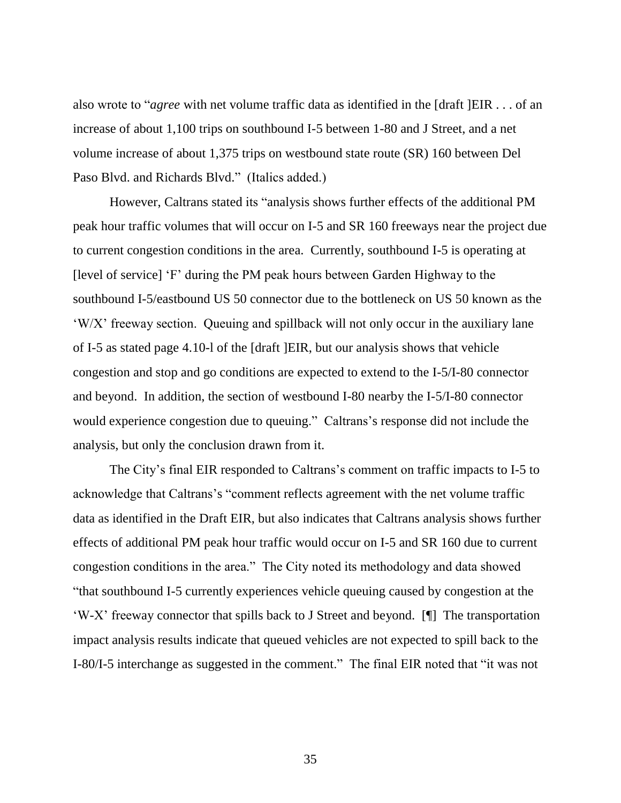also wrote to "*agree* with net volume traffic data as identified in the [draft ]EIR . . . of an increase of about 1,100 trips on southbound I-5 between 1-80 and J Street, and a net volume increase of about 1,375 trips on westbound state route (SR) 160 between Del Paso Blvd. and Richards Blvd." (Italics added.)

However, Caltrans stated its "analysis shows further effects of the additional PM peak hour traffic volumes that will occur on I-5 and SR 160 freeways near the project due to current congestion conditions in the area. Currently, southbound I-5 is operating at [level of service] 'F' during the PM peak hours between Garden Highway to the southbound I-5/eastbound US 50 connector due to the bottleneck on US 50 known as the 'W/X' freeway section. Queuing and spillback will not only occur in the auxiliary lane of I-5 as stated page 4.10-l of the [draft ]EIR, but our analysis shows that vehicle congestion and stop and go conditions are expected to extend to the I-5/I-80 connector and beyond. In addition, the section of westbound I-80 nearby the I-5/I-80 connector would experience congestion due to queuing." Caltrans's response did not include the analysis, but only the conclusion drawn from it.

The City's final EIR responded to Caltrans's comment on traffic impacts to I-5 to acknowledge that Caltrans's "comment reflects agreement with the net volume traffic data as identified in the Draft EIR, but also indicates that Caltrans analysis shows further effects of additional PM peak hour traffic would occur on I-5 and SR 160 due to current congestion conditions in the area." The City noted its methodology and data showed "that southbound I-5 currently experiences vehicle queuing caused by congestion at the 'W-X' freeway connector that spills back to J Street and beyond. [¶] The transportation impact analysis results indicate that queued vehicles are not expected to spill back to the I-80/I-5 interchange as suggested in the comment." The final EIR noted that "it was not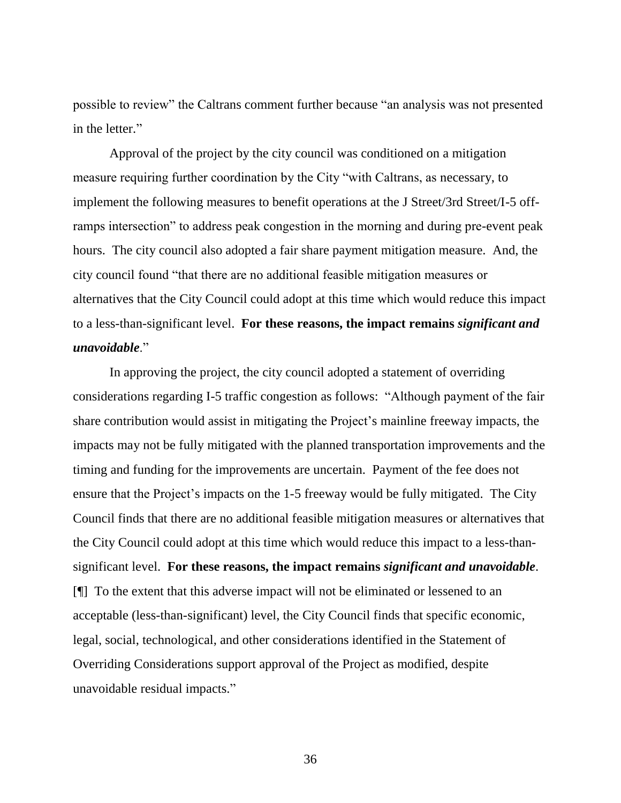possible to review" the Caltrans comment further because "an analysis was not presented in the letter."

Approval of the project by the city council was conditioned on a mitigation measure requiring further coordination by the City "with Caltrans, as necessary, to implement the following measures to benefit operations at the J Street/3rd Street/I-5 offramps intersection" to address peak congestion in the morning and during pre-event peak hours. The city council also adopted a fair share payment mitigation measure. And, the city council found "that there are no additional feasible mitigation measures or alternatives that the City Council could adopt at this time which would reduce this impact to a less-than-significant level. **For these reasons, the impact remains** *significant and unavoidable*."

In approving the project, the city council adopted a statement of overriding considerations regarding I-5 traffic congestion as follows: "Although payment of the fair share contribution would assist in mitigating the Project's mainline freeway impacts, the impacts may not be fully mitigated with the planned transportation improvements and the timing and funding for the improvements are uncertain. Payment of the fee does not ensure that the Project's impacts on the 1-5 freeway would be fully mitigated. The City Council finds that there are no additional feasible mitigation measures or alternatives that the City Council could adopt at this time which would reduce this impact to a less-thansignificant level. **For these reasons, the impact remains** *significant and unavoidable*. [¶] To the extent that this adverse impact will not be eliminated or lessened to an acceptable (less-than-significant) level, the City Council finds that specific economic, legal, social, technological, and other considerations identified in the Statement of Overriding Considerations support approval of the Project as modified, despite unavoidable residual impacts."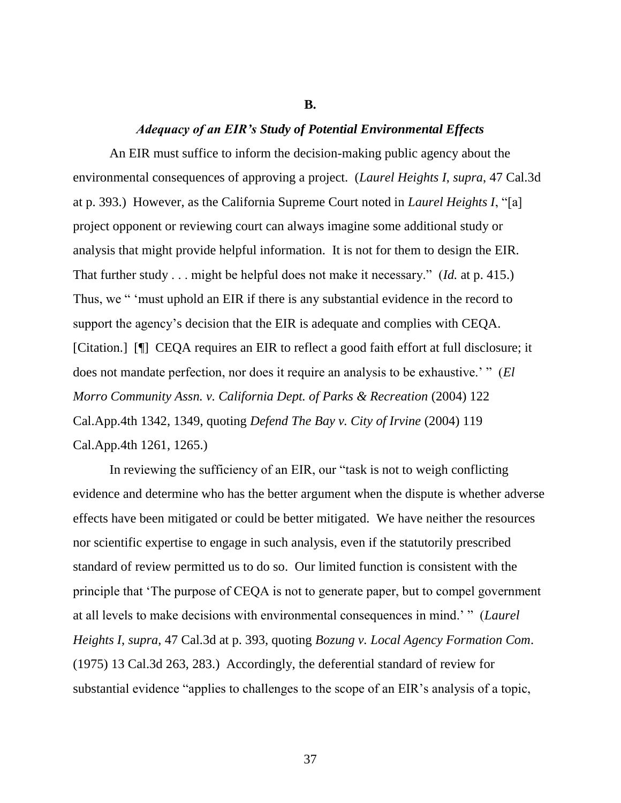#### **B.**

#### *Adequacy of an EIR's Study of Potential Environmental Effects*

An EIR must suffice to inform the decision-making public agency about the environmental consequences of approving a project. (*Laurel Heights I*, *supra*, 47 Cal.3d at p. 393.) However, as the California Supreme Court noted in *Laurel Heights I*, "[a] project opponent or reviewing court can always imagine some additional study or analysis that might provide helpful information. It is not for them to design the EIR. That further study . . . might be helpful does not make it necessary." (*Id.* at p. 415.) Thus, we " 'must uphold an EIR if there is any substantial evidence in the record to support the agency's decision that the EIR is adequate and complies with CEQA. [Citation.] [¶] CEQA requires an EIR to reflect a good faith effort at full disclosure; it does not mandate perfection, nor does it require an analysis to be exhaustive.' " (*El Morro Community Assn. v. California Dept. of Parks & Recreation* (2004) 122 Cal.App.4th 1342, 1349, quoting *Defend The Bay v. City of Irvine* (2004) 119 Cal.App.4th 1261, 1265.)

In reviewing the sufficiency of an EIR, our "task is not to weigh conflicting evidence and determine who has the better argument when the dispute is whether adverse effects have been mitigated or could be better mitigated. We have neither the resources nor scientific expertise to engage in such analysis, even if the statutorily prescribed standard of review permitted us to do so. Our limited function is consistent with the principle that 'The purpose of CEQA is not to generate paper, but to compel government at all levels to make decisions with environmental consequences in mind.' " (*Laurel Heights I*, *supra*, 47 Cal.3d at p. 393, quoting *Bozung v. Local Agency Formation Com*. (1975) 13 Cal.3d 263, 283.) Accordingly, the deferential standard of review for substantial evidence "applies to challenges to the scope of an EIR's analysis of a topic,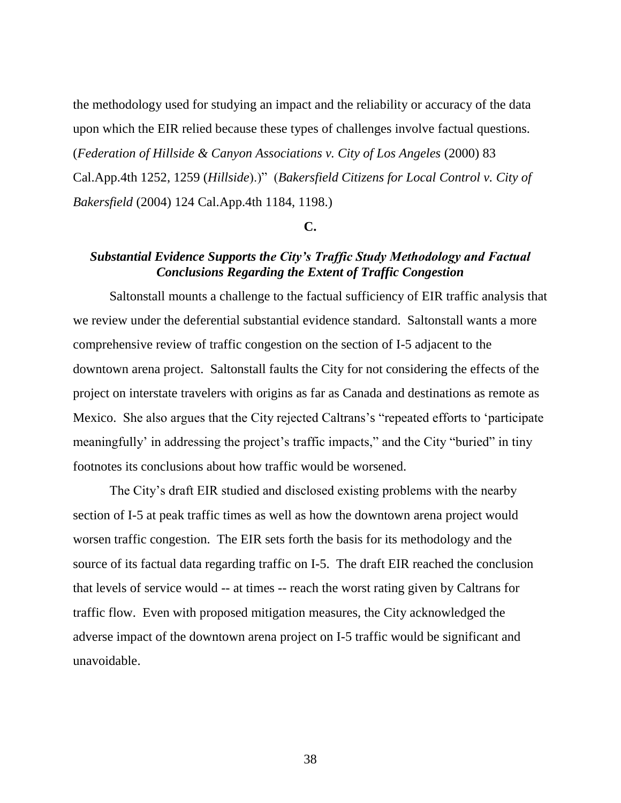the methodology used for studying an impact and the reliability or accuracy of the data upon which the EIR relied because these types of challenges involve factual questions. (*Federation of Hillside & Canyon Associations v. City of Los Angeles* (2000) 83 Cal.App.4th 1252, 1259 (*Hillside*).)" (*Bakersfield Citizens for Local Control v. City of Bakersfield* (2004) 124 Cal.App.4th 1184, 1198.)

## **C.**

# *Substantial Evidence Supports the City's Traffic Study Methodology and Factual Conclusions Regarding the Extent of Traffic Congestion*

Saltonstall mounts a challenge to the factual sufficiency of EIR traffic analysis that we review under the deferential substantial evidence standard. Saltonstall wants a more comprehensive review of traffic congestion on the section of I-5 adjacent to the downtown arena project. Saltonstall faults the City for not considering the effects of the project on interstate travelers with origins as far as Canada and destinations as remote as Mexico. She also argues that the City rejected Caltrans's "repeated efforts to 'participate meaningfully' in addressing the project's traffic impacts," and the City "buried" in tiny footnotes its conclusions about how traffic would be worsened.

The City's draft EIR studied and disclosed existing problems with the nearby section of I-5 at peak traffic times as well as how the downtown arena project would worsen traffic congestion. The EIR sets forth the basis for its methodology and the source of its factual data regarding traffic on I-5. The draft EIR reached the conclusion that levels of service would -- at times -- reach the worst rating given by Caltrans for traffic flow. Even with proposed mitigation measures, the City acknowledged the adverse impact of the downtown arena project on I-5 traffic would be significant and unavoidable.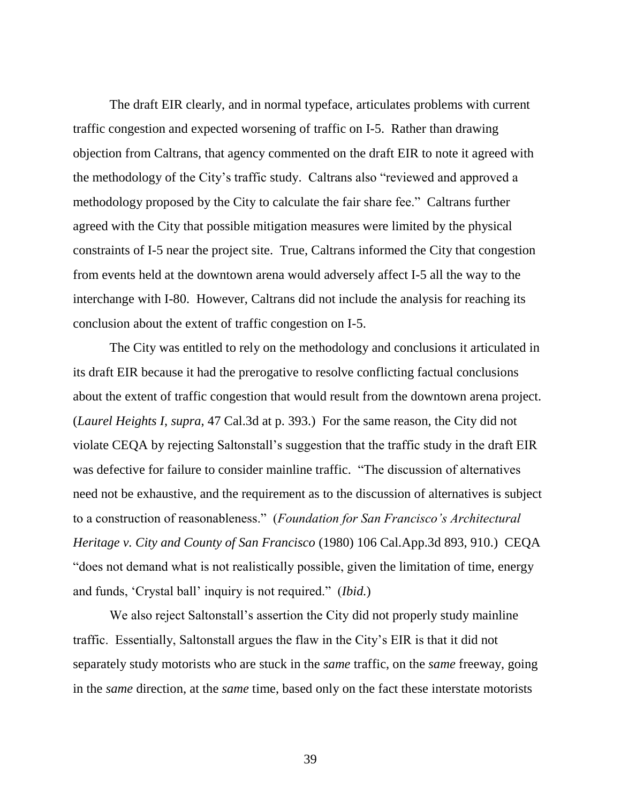The draft EIR clearly, and in normal typeface, articulates problems with current traffic congestion and expected worsening of traffic on I-5. Rather than drawing objection from Caltrans, that agency commented on the draft EIR to note it agreed with the methodology of the City's traffic study. Caltrans also "reviewed and approved a methodology proposed by the City to calculate the fair share fee." Caltrans further agreed with the City that possible mitigation measures were limited by the physical constraints of I-5 near the project site. True, Caltrans informed the City that congestion from events held at the downtown arena would adversely affect I-5 all the way to the interchange with I-80. However, Caltrans did not include the analysis for reaching its conclusion about the extent of traffic congestion on I-5.

The City was entitled to rely on the methodology and conclusions it articulated in its draft EIR because it had the prerogative to resolve conflicting factual conclusions about the extent of traffic congestion that would result from the downtown arena project. (*Laurel Heights I*, *supra*, 47 Cal.3d at p. 393.) For the same reason, the City did not violate CEQA by rejecting Saltonstall's suggestion that the traffic study in the draft EIR was defective for failure to consider mainline traffic. "The discussion of alternatives need not be exhaustive, and the requirement as to the discussion of alternatives is subject to a construction of reasonableness." (*Foundation for San Francisco's Architectural Heritage v. City and County of San Francisco* (1980) 106 Cal.App.3d 893, 910.) CEQA "does not demand what is not realistically possible, given the limitation of time, energy and funds, 'Crystal ball' inquiry is not required." (*Ibid.*)

We also reject Saltonstall's assertion the City did not properly study mainline traffic. Essentially, Saltonstall argues the flaw in the City's EIR is that it did not separately study motorists who are stuck in the *same* traffic, on the *same* freeway, going in the *same* direction, at the *same* time, based only on the fact these interstate motorists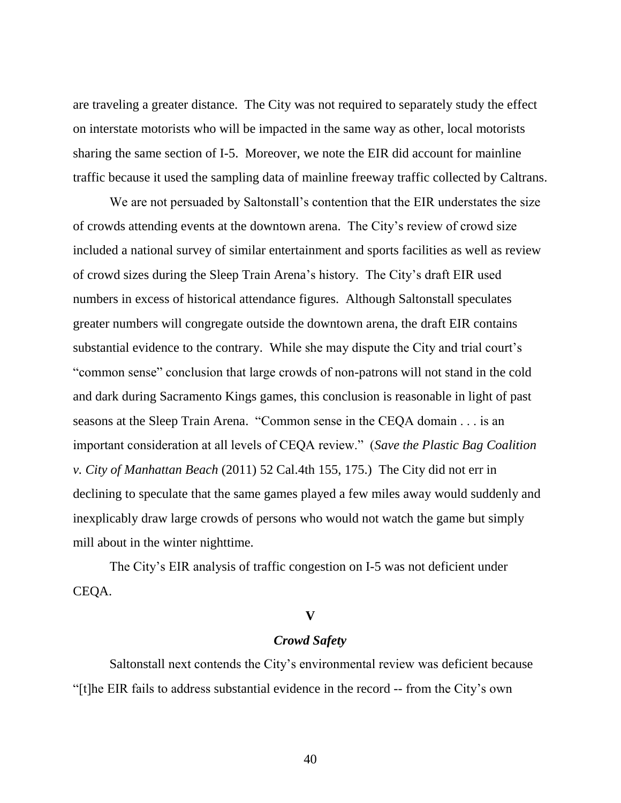are traveling a greater distance. The City was not required to separately study the effect on interstate motorists who will be impacted in the same way as other, local motorists sharing the same section of I-5. Moreover, we note the EIR did account for mainline traffic because it used the sampling data of mainline freeway traffic collected by Caltrans.

We are not persuaded by Saltonstall's contention that the EIR understates the size of crowds attending events at the downtown arena. The City's review of crowd size included a national survey of similar entertainment and sports facilities as well as review of crowd sizes during the Sleep Train Arena's history. The City's draft EIR used numbers in excess of historical attendance figures. Although Saltonstall speculates greater numbers will congregate outside the downtown arena, the draft EIR contains substantial evidence to the contrary. While she may dispute the City and trial court's "common sense" conclusion that large crowds of non-patrons will not stand in the cold and dark during Sacramento Kings games, this conclusion is reasonable in light of past seasons at the Sleep Train Arena. "Common sense in the CEQA domain . . . is an important consideration at all levels of CEQA review." (*Save the Plastic Bag Coalition v. City of Manhattan Beach* (2011) 52 Cal.4th 155, 175.) The City did not err in declining to speculate that the same games played a few miles away would suddenly and inexplicably draw large crowds of persons who would not watch the game but simply mill about in the winter nighttime.

The City's EIR analysis of traffic congestion on I-5 was not deficient under CEQA.

#### **V**

## *Crowd Safety*

Saltonstall next contends the City's environmental review was deficient because "[t]he EIR fails to address substantial evidence in the record -- from the City's own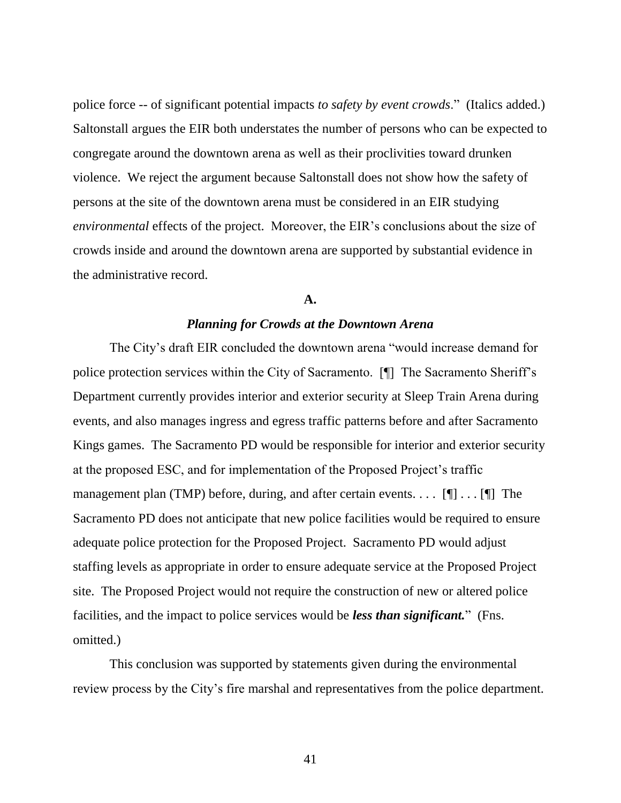police force -- of significant potential impacts *to safety by event crowds*." (Italics added.) Saltonstall argues the EIR both understates the number of persons who can be expected to congregate around the downtown arena as well as their proclivities toward drunken violence. We reject the argument because Saltonstall does not show how the safety of persons at the site of the downtown arena must be considered in an EIR studying *environmental* effects of the project. Moreover, the EIR's conclusions about the size of crowds inside and around the downtown arena are supported by substantial evidence in the administrative record.

#### **A.**

## *Planning for Crowds at the Downtown Arena*

The City's draft EIR concluded the downtown arena "would increase demand for police protection services within the City of Sacramento. [¶] The Sacramento Sheriff's Department currently provides interior and exterior security at Sleep Train Arena during events, and also manages ingress and egress traffic patterns before and after Sacramento Kings games. The Sacramento PD would be responsible for interior and exterior security at the proposed ESC, and for implementation of the Proposed Project's traffic management plan (TMP) before, during, and after certain events. . . .  $[\P] \dots [\P]$  The Sacramento PD does not anticipate that new police facilities would be required to ensure adequate police protection for the Proposed Project. Sacramento PD would adjust staffing levels as appropriate in order to ensure adequate service at the Proposed Project site. The Proposed Project would not require the construction of new or altered police facilities, and the impact to police services would be *less than significant.*" (Fns. omitted.)

This conclusion was supported by statements given during the environmental review process by the City's fire marshal and representatives from the police department.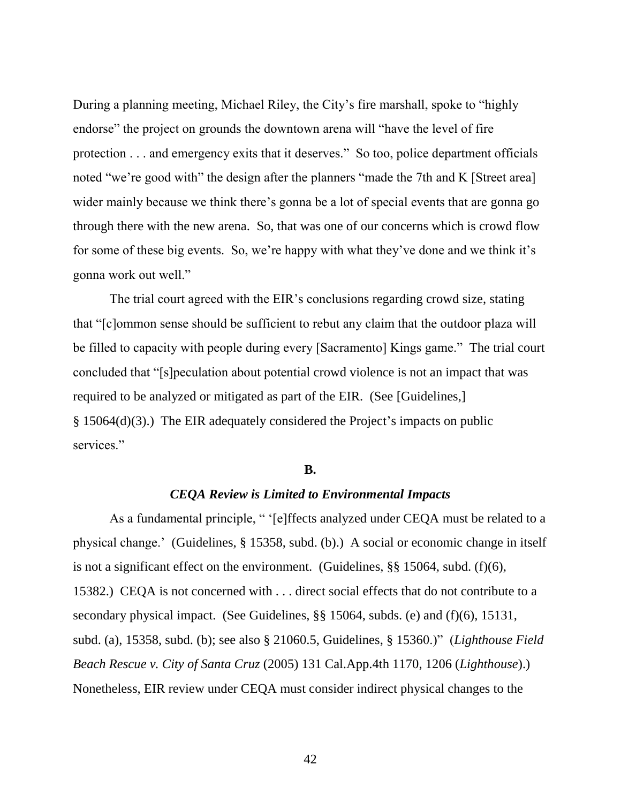During a planning meeting, Michael Riley, the City's fire marshall, spoke to "highly endorse" the project on grounds the downtown arena will "have the level of fire protection . . . and emergency exits that it deserves." So too, police department officials noted "we're good with" the design after the planners "made the 7th and K [Street area] wider mainly because we think there's gonna be a lot of special events that are gonna go through there with the new arena. So, that was one of our concerns which is crowd flow for some of these big events. So, we're happy with what they've done and we think it's gonna work out well."

The trial court agreed with the EIR's conclusions regarding crowd size, stating that "[c]ommon sense should be sufficient to rebut any claim that the outdoor plaza will be filled to capacity with people during every [Sacramento] Kings game." The trial court concluded that "[s]peculation about potential crowd violence is not an impact that was required to be analyzed or mitigated as part of the EIR. (See [Guidelines,] § 15064(d)(3).) The EIR adequately considered the Project's impacts on public services."

## **B.**

## *CEQA Review is Limited to Environmental Impacts*

As a fundamental principle, " '[e]ffects analyzed under CEQA must be related to a physical change.' (Guidelines, § 15358, subd. (b).) A social or economic change in itself is not a significant effect on the environment. (Guidelines, §§ 15064, subd. (f)(6), 15382.) CEQA is not concerned with . . . direct social effects that do not contribute to a secondary physical impact. (See Guidelines, §§ 15064, subds. (e) and (f)(6), 15131, subd. (a), 15358, subd. (b); see also § 21060.5, Guidelines, § 15360.)" (*Lighthouse Field Beach Rescue v. City of Santa Cruz* (2005) 131 Cal.App.4th 1170, 1206 (*Lighthouse*).) Nonetheless, EIR review under CEQA must consider indirect physical changes to the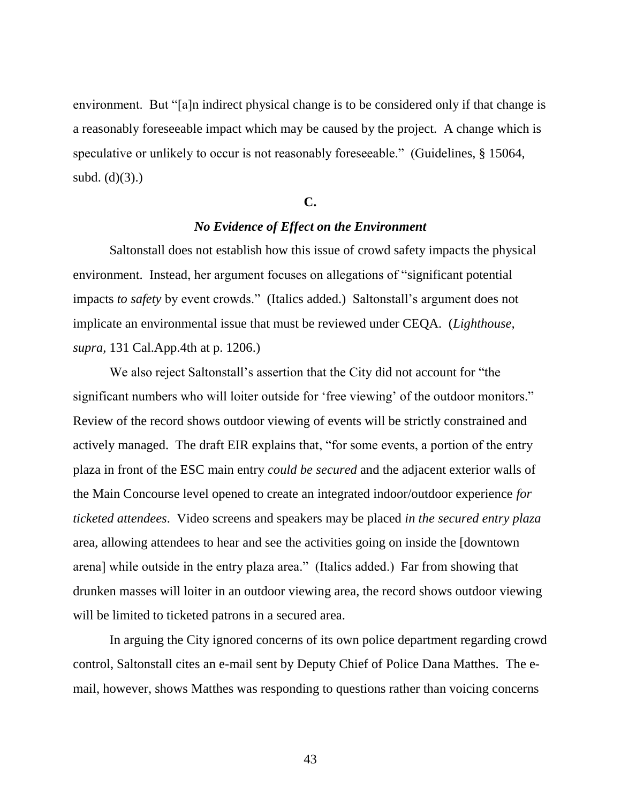environment. But "[a]n indirect physical change is to be considered only if that change is a reasonably foreseeable impact which may be caused by the project. A change which is speculative or unlikely to occur is not reasonably foreseeable." (Guidelines, § 15064, subd.  $(d)(3)$ .)

## **C.**

## *No Evidence of Effect on the Environment*

Saltonstall does not establish how this issue of crowd safety impacts the physical environment. Instead, her argument focuses on allegations of "significant potential impacts *to safety* by event crowds." (Italics added.) Saltonstall's argument does not implicate an environmental issue that must be reviewed under CEQA. (*Lighthouse, supra,* 131 Cal.App.4th at p. 1206.)

We also reject Saltonstall's assertion that the City did not account for "the significant numbers who will loiter outside for 'free viewing' of the outdoor monitors." Review of the record shows outdoor viewing of events will be strictly constrained and actively managed. The draft EIR explains that, "for some events, a portion of the entry plaza in front of the ESC main entry *could be secured* and the adjacent exterior walls of the Main Concourse level opened to create an integrated indoor/outdoor experience *for ticketed attendees*. Video screens and speakers may be placed *in the secured entry plaza* area, allowing attendees to hear and see the activities going on inside the [downtown arena] while outside in the entry plaza area." (Italics added.) Far from showing that drunken masses will loiter in an outdoor viewing area, the record shows outdoor viewing will be limited to ticketed patrons in a secured area.

In arguing the City ignored concerns of its own police department regarding crowd control, Saltonstall cites an e-mail sent by Deputy Chief of Police Dana Matthes. The email, however, shows Matthes was responding to questions rather than voicing concerns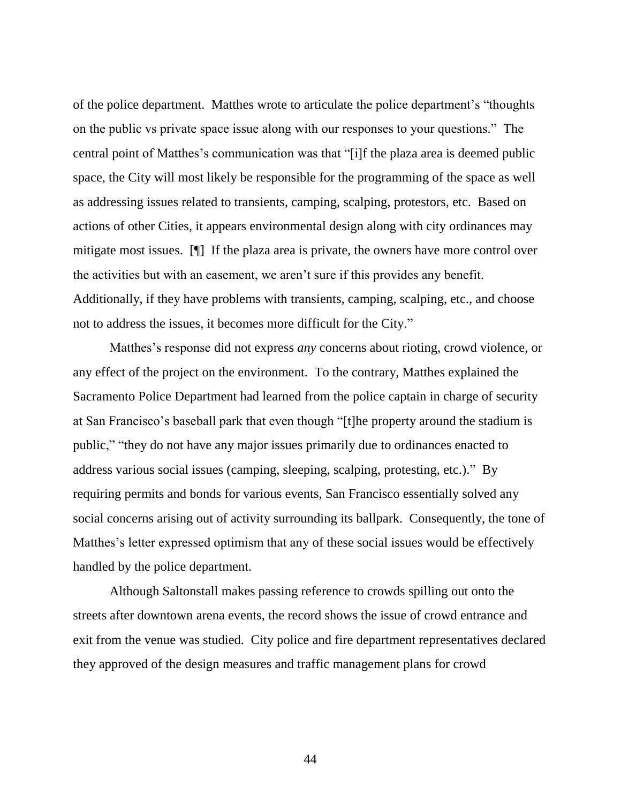of the police department. Matthes wrote to articulate the police department's "thoughts on the public vs private space issue along with our responses to your questions." The central point of Matthes's communication was that "[i]f the plaza area is deemed public space, the City will most likely be responsible for the programming of the space as well as addressing issues related to transients, camping, scalping, protestors, etc. Based on actions of other Cities, it appears environmental design along with city ordinances may mitigate most issues. [¶] If the plaza area is private, the owners have more control over the activities but with an easement, we aren't sure if this provides any benefit. Additionally, if they have problems with transients, camping, scalping, etc., and choose not to address the issues, it becomes more difficult for the City."

Matthes's response did not express *any* concerns about rioting, crowd violence, or any effect of the project on the environment. To the contrary, Matthes explained the Sacramento Police Department had learned from the police captain in charge of security at San Francisco's baseball park that even though "[t]he property around the stadium is public," "they do not have any major issues primarily due to ordinances enacted to address various social issues (camping, sleeping, scalping, protesting, etc.)." By requiring permits and bonds for various events, San Francisco essentially solved any social concerns arising out of activity surrounding its ballpark. Consequently, the tone of Matthes's letter expressed optimism that any of these social issues would be effectively handled by the police department.

Although Saltonstall makes passing reference to crowds spilling out onto the streets after downtown arena events, the record shows the issue of crowd entrance and exit from the venue was studied. City police and fire department representatives declared they approved of the design measures and traffic management plans for crowd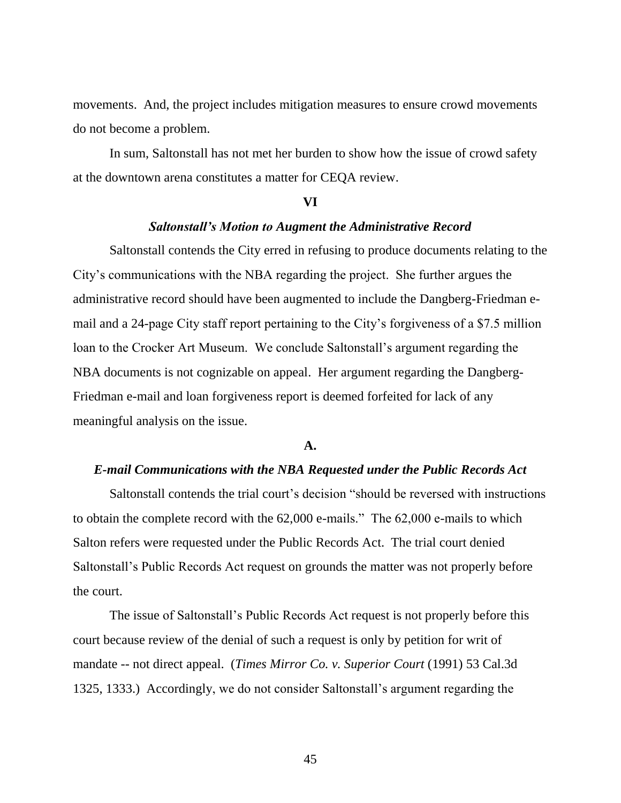movements. And, the project includes mitigation measures to ensure crowd movements do not become a problem.

In sum, Saltonstall has not met her burden to show how the issue of crowd safety at the downtown arena constitutes a matter for CEQA review.

#### **VI**

## *Saltonstall's Motion to Augment the Administrative Record*

Saltonstall contends the City erred in refusing to produce documents relating to the City's communications with the NBA regarding the project. She further argues the administrative record should have been augmented to include the Dangberg-Friedman email and a 24-page City staff report pertaining to the City's forgiveness of a \$7.5 million loan to the Crocker Art Museum. We conclude Saltonstall's argument regarding the NBA documents is not cognizable on appeal. Her argument regarding the Dangberg-Friedman e-mail and loan forgiveness report is deemed forfeited for lack of any meaningful analysis on the issue.

## **A.**

## *E-mail Communications with the NBA Requested under the Public Records Act*

Saltonstall contends the trial court's decision "should be reversed with instructions to obtain the complete record with the 62,000 e-mails." The 62,000 e-mails to which Salton refers were requested under the Public Records Act. The trial court denied Saltonstall's Public Records Act request on grounds the matter was not properly before the court.

The issue of Saltonstall's Public Records Act request is not properly before this court because review of the denial of such a request is only by petition for writ of mandate -- not direct appeal. (*Times Mirror Co. v. Superior Court* (1991) 53 Cal.3d 1325, 1333.) Accordingly, we do not consider Saltonstall's argument regarding the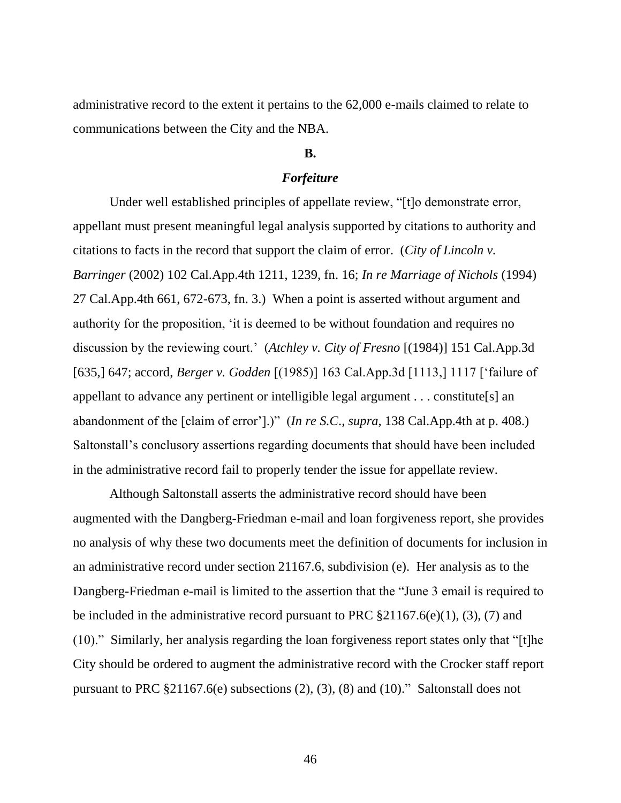administrative record to the extent it pertains to the 62,000 e-mails claimed to relate to communications between the City and the NBA.

## **B.**

## *Forfeiture*

Under well established principles of appellate review, "[t]o demonstrate error, appellant must present meaningful legal analysis supported by citations to authority and citations to facts in the record that support the claim of error. (*City of Lincoln v. Barringer* (2002) 102 Cal.App.4th 1211, 1239, fn. 16; *In re Marriage of Nichols* (1994) 27 Cal.App.4th 661, 672-673, fn. 3.) When a point is asserted without argument and authority for the proposition, 'it is deemed to be without foundation and requires no discussion by the reviewing court.' (*Atchley v. City of Fresno* [(1984)] 151 Cal.App.3d [635,] 647; accord, *Berger v. Godden* [(1985)] 163 Cal.App.3d [1113,] 1117 ['failure of appellant to advance any pertinent or intelligible legal argument . . . constitute[s] an abandonment of the [claim of error'].)" (*In re S.C*.*, supra,* 138 Cal.App.4th at p. 408.) Saltonstall's conclusory assertions regarding documents that should have been included in the administrative record fail to properly tender the issue for appellate review.

Although Saltonstall asserts the administrative record should have been augmented with the Dangberg-Friedman e-mail and loan forgiveness report, she provides no analysis of why these two documents meet the definition of documents for inclusion in an administrative record under section 21167.6, subdivision (e). Her analysis as to the Dangberg-Friedman e-mail is limited to the assertion that the "June 3 email is required to be included in the administrative record pursuant to PRC §21167.6(e)(1), (3), (7) and (10)." Similarly, her analysis regarding the loan forgiveness report states only that "[t]he City should be ordered to augment the administrative record with the Crocker staff report pursuant to PRC §21167.6(e) subsections (2), (3), (8) and (10)." Saltonstall does not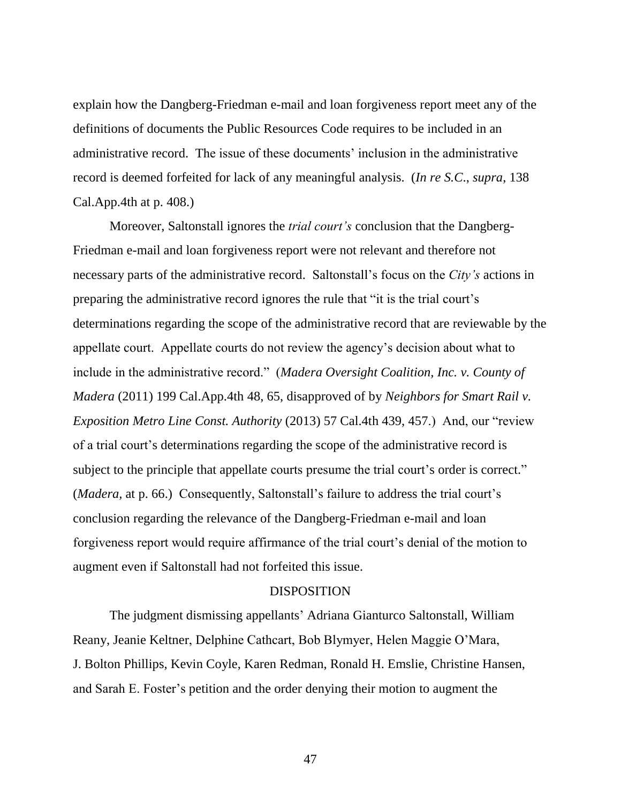explain how the Dangberg-Friedman e-mail and loan forgiveness report meet any of the definitions of documents the Public Resources Code requires to be included in an administrative record. The issue of these documents' inclusion in the administrative record is deemed forfeited for lack of any meaningful analysis. (*In re S.C*., *supra*, 138 Cal.App.4th at p. 408.)

Moreover, Saltonstall ignores the *trial court's* conclusion that the Dangberg-Friedman e-mail and loan forgiveness report were not relevant and therefore not necessary parts of the administrative record. Saltonstall's focus on the *City's* actions in preparing the administrative record ignores the rule that "it is the trial court's determinations regarding the scope of the administrative record that are reviewable by the appellate court. Appellate courts do not review the agency's decision about what to include in the administrative record." (*Madera Oversight Coalition, Inc. v. County of Madera* (2011) 199 Cal.App.4th 48, 65, disapproved of by *Neighbors for Smart Rail v. Exposition Metro Line Const. Authority* (2013) 57 Cal.4th 439, 457.) And, our "review of a trial court's determinations regarding the scope of the administrative record is subject to the principle that appellate courts presume the trial court's order is correct." (*Madera,* at p. 66.) Consequently, Saltonstall's failure to address the trial court's conclusion regarding the relevance of the Dangberg-Friedman e-mail and loan forgiveness report would require affirmance of the trial court's denial of the motion to augment even if Saltonstall had not forfeited this issue.

## DISPOSITION

The judgment dismissing appellants' Adriana Gianturco Saltonstall, William Reany, Jeanie Keltner, Delphine Cathcart, Bob Blymyer, Helen Maggie O'Mara, J. Bolton Phillips, Kevin Coyle, Karen Redman, Ronald H. Emslie, Christine Hansen, and Sarah E. Foster's petition and the order denying their motion to augment the